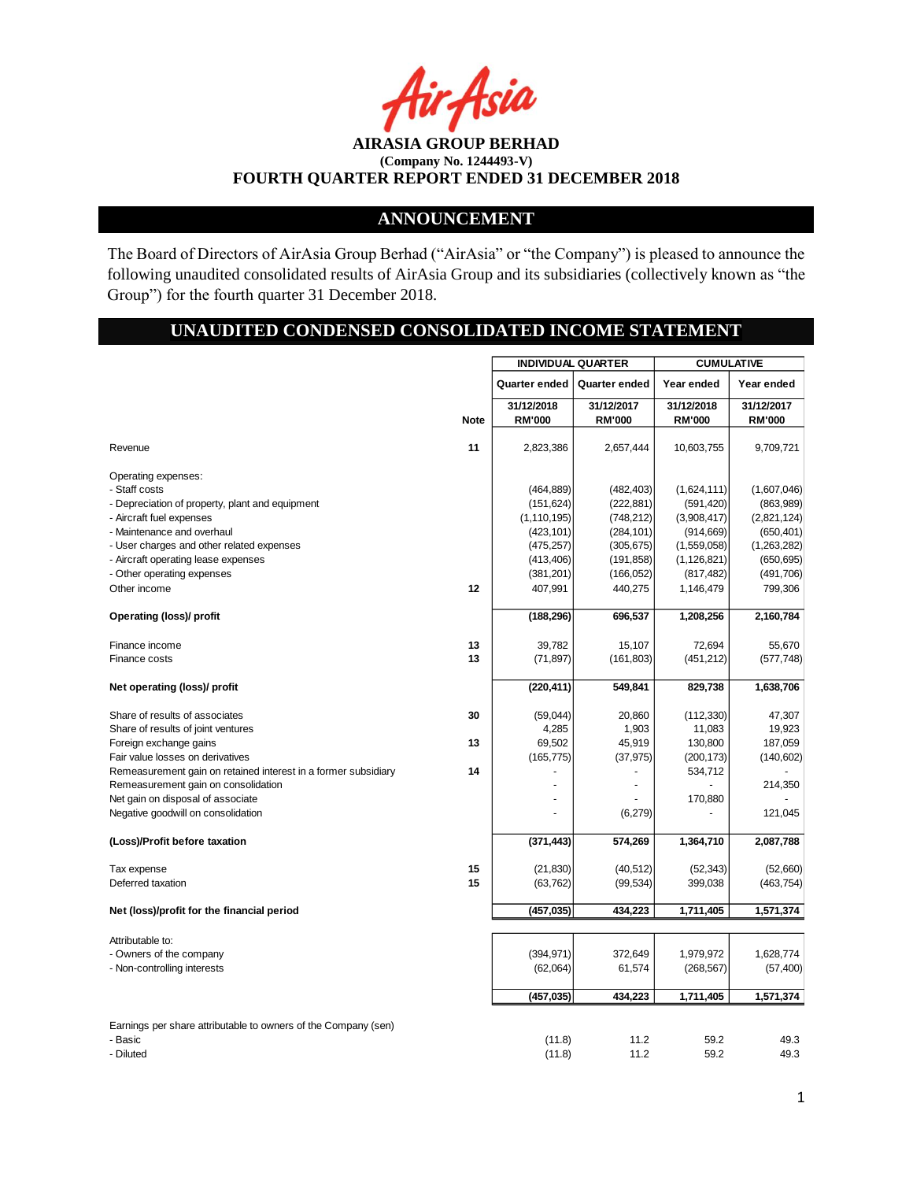r Asia

# **ANNOUNCEMENT**

The Board of Directors of AirAsia Group Berhad ("AirAsia" or "the Company") is pleased to announce the following unaudited consolidated results of AirAsia Group and its subsidiaries (collectively known as "the Group") for the fourth quarter 31 December 2018.

# **UNAUDITED CONDENSED CONSOLIDATED INCOME STATEMENT**

|                                                                                                                                                   |             | <b>INDIVIDUAL QUARTER</b>                               |                                                      | <b>CUMULATIVE</b>                                      |                                                       |  |
|---------------------------------------------------------------------------------------------------------------------------------------------------|-------------|---------------------------------------------------------|------------------------------------------------------|--------------------------------------------------------|-------------------------------------------------------|--|
|                                                                                                                                                   |             | Quarter ended                                           | Quarter ended                                        | Year ended                                             | Year ended                                            |  |
|                                                                                                                                                   |             | 31/12/2018                                              | 31/12/2017                                           | 31/12/2018                                             | 31/12/2017                                            |  |
|                                                                                                                                                   | <b>Note</b> | <b>RM'000</b>                                           | <b>RM'000</b>                                        | <b>RM'000</b>                                          | <b>RM'000</b>                                         |  |
| Revenue                                                                                                                                           | 11          | 2,823,386                                               | 2,657,444                                            | 10,603,755                                             | 9,709,721                                             |  |
| Operating expenses:<br>- Staff costs<br>- Depreciation of property, plant and equipment<br>- Aircraft fuel expenses<br>- Maintenance and overhaul |             | (464, 889)<br>(151, 624)<br>(1, 110, 195)<br>(423, 101) | (482, 403)<br>(222, 881)<br>(748, 212)<br>(284, 101) | (1,624,111)<br>(591, 420)<br>(3,908,417)<br>(914, 669) | (1,607,046)<br>(863,989)<br>(2,821,124)<br>(650, 401) |  |
| - User charges and other related expenses                                                                                                         |             | (475, 257)                                              | (305, 675)                                           | (1,559,058)                                            | (1,263,282)                                           |  |
| - Aircraft operating lease expenses                                                                                                               |             | (413, 406)                                              | (191, 858)                                           | (1, 126, 821)                                          | (650, 695)                                            |  |
| - Other operating expenses                                                                                                                        |             | (381, 201)                                              | (166, 052)                                           | (817, 482)                                             | (491,706)                                             |  |
| Other income                                                                                                                                      | 12          | 407,991                                                 | 440,275                                              | 1,146,479                                              | 799,306                                               |  |
| Operating (loss)/ profit                                                                                                                          |             | (188, 296)                                              | 696,537                                              | 1,208,256                                              | 2,160,784                                             |  |
|                                                                                                                                                   |             |                                                         |                                                      |                                                        |                                                       |  |
| Finance income                                                                                                                                    | 13<br>13    | 39,782                                                  | 15,107                                               | 72,694                                                 | 55,670                                                |  |
| Finance costs                                                                                                                                     |             | (71, 897)                                               | (161, 803)                                           | (451, 212)                                             | (577, 748)                                            |  |
| Net operating (loss)/ profit                                                                                                                      |             | (220, 411)                                              | 549,841                                              | 829,738                                                | 1,638,706                                             |  |
| Share of results of associates                                                                                                                    | 30          | (59,044)                                                | 20,860                                               | (112, 330)                                             | 47,307                                                |  |
| Share of results of joint ventures                                                                                                                |             | 4,285                                                   | 1,903                                                | 11,083                                                 | 19,923                                                |  |
| Foreign exchange gains                                                                                                                            | 13          | 69,502                                                  | 45,919                                               | 130,800                                                | 187,059                                               |  |
| Fair value losses on derivatives                                                                                                                  |             | (165, 775)                                              | (37, 975)                                            | (200, 173)                                             | (140, 602)                                            |  |
| Remeasurement gain on retained interest in a former subsidiary                                                                                    | 14          |                                                         |                                                      | 534,712                                                |                                                       |  |
| Remeasurement gain on consolidation                                                                                                               |             |                                                         |                                                      |                                                        | 214,350                                               |  |
| Net gain on disposal of associate                                                                                                                 |             | $\ddot{\phantom{1}}$                                    |                                                      | 170,880                                                |                                                       |  |
| Negative goodwill on consolidation                                                                                                                |             |                                                         | (6,279)                                              |                                                        | 121,045                                               |  |
| (Loss)/Profit before taxation                                                                                                                     |             | (371, 443)                                              | 574,269                                              | 1,364,710                                              | 2,087,788                                             |  |
| Tax expense                                                                                                                                       | 15          | (21, 830)                                               | (40, 512)                                            | (52, 343)                                              | (52,660)                                              |  |
| Deferred taxation                                                                                                                                 | 15          | (63, 762)                                               | (99, 534)                                            | 399,038                                                | (463, 754)                                            |  |
|                                                                                                                                                   |             |                                                         |                                                      |                                                        |                                                       |  |
| Net (loss)/profit for the financial period                                                                                                        |             | (457, 035)                                              | 434,223                                              | 1,711,405                                              | 1,571,374                                             |  |
| Attributable to:                                                                                                                                  |             |                                                         |                                                      |                                                        |                                                       |  |
| - Owners of the company                                                                                                                           |             | (394, 971)                                              | 372,649                                              | 1,979,972                                              | 1,628,774                                             |  |
| - Non-controlling interests                                                                                                                       |             | (62,064)                                                | 61,574                                               | (268, 567)                                             | (57, 400)                                             |  |
|                                                                                                                                                   |             |                                                         |                                                      |                                                        |                                                       |  |
|                                                                                                                                                   |             | (457,035)                                               | 434,223                                              | 1,711,405                                              | 1,571,374                                             |  |
| Earnings per share attributable to owners of the Company (sen)                                                                                    |             |                                                         |                                                      |                                                        |                                                       |  |
| - Basic                                                                                                                                           |             | (11.8)                                                  | 11.2                                                 | 59.2                                                   | 49.3                                                  |  |
| - Diluted                                                                                                                                         |             | (11.8)                                                  | 11.2                                                 | 59.2                                                   | 49.3                                                  |  |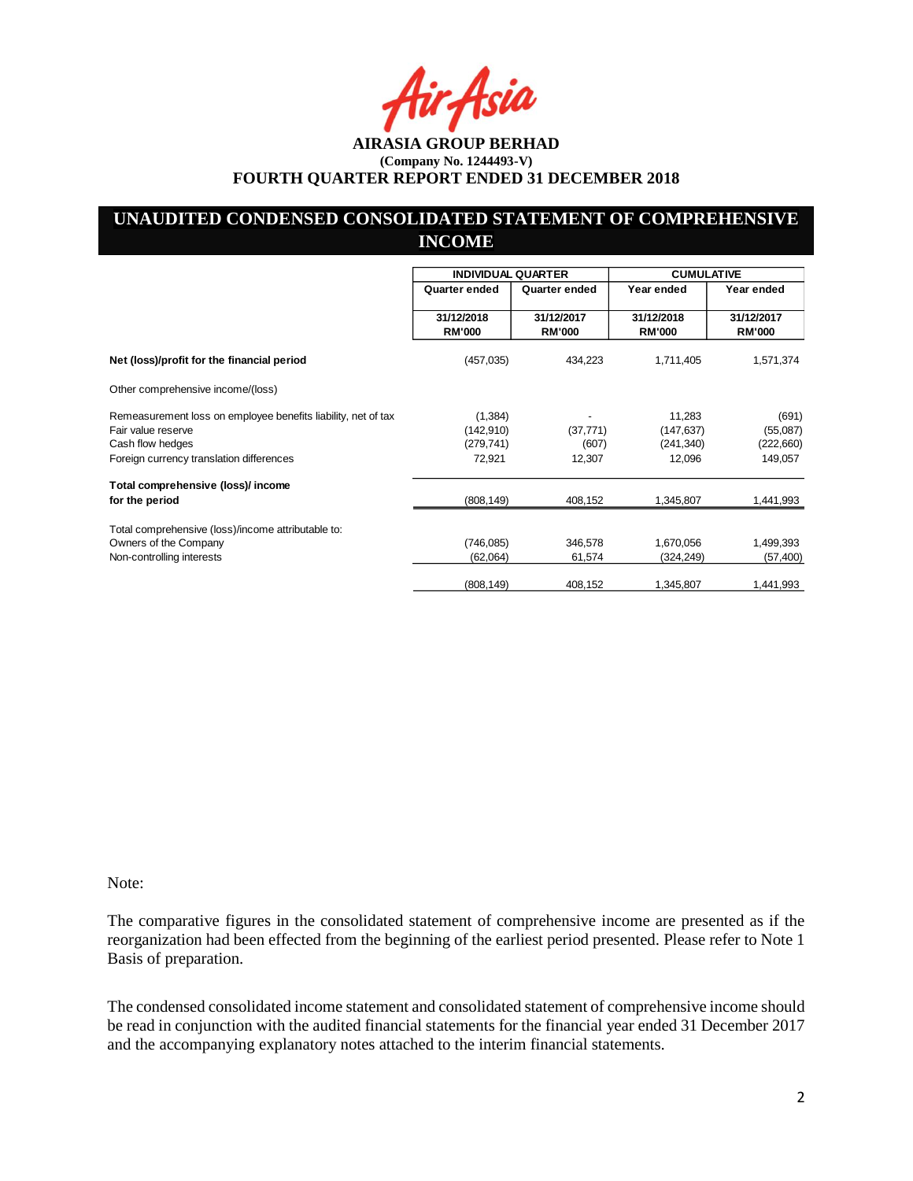Asia

## **UNAUDITED CONDENSED CONSOLIDATED STATEMENT OF COMPREHENSIVE INCOME**

|                                                               | <b>INDIVIDUAL QUARTER</b>   |                             | <b>CUMULATIVE</b>           |                             |  |
|---------------------------------------------------------------|-----------------------------|-----------------------------|-----------------------------|-----------------------------|--|
|                                                               | Quarter ended               | Quarter ended               | Year ended                  | Year ended                  |  |
|                                                               | 31/12/2018<br><b>RM'000</b> | 31/12/2017<br><b>RM'000</b> | 31/12/2018<br><b>RM'000</b> | 31/12/2017<br><b>RM'000</b> |  |
| Net (loss)/profit for the financial period                    | (457, 035)                  | 434,223                     | 1,711,405                   | 1,571,374                   |  |
| Other comprehensive income/(loss)                             |                             |                             |                             |                             |  |
| Remeasurement loss on employee benefits liability, net of tax | (1,384)                     |                             | 11,283                      | (691)                       |  |
| Fair value reserve                                            | (142, 910)                  | (37, 771)                   | (147, 637)                  | (55,087)                    |  |
| Cash flow hedges                                              | (279, 741)                  | (607)                       | (241, 340)                  | (222, 660)                  |  |
| Foreign currency translation differences                      | 72,921                      | 12,307                      | 12,096                      | 149,057                     |  |
| Total comprehensive (loss)/ income                            |                             |                             |                             |                             |  |
| for the period                                                | (808, 149)                  | 408,152                     | 1,345,807                   | 1,441,993                   |  |
| Total comprehensive (loss)/income attributable to:            |                             |                             |                             |                             |  |
| Owners of the Company                                         | (746, 085)                  | 346,578                     | 1,670,056                   | 1,499,393                   |  |
| Non-controlling interests                                     | (62,064)                    | 61,574                      | (324, 249)                  | (57, 400)                   |  |
|                                                               | (808, 149)                  | 408,152                     | 1,345,807                   | 1,441,993                   |  |

Note:

The comparative figures in the consolidated statement of comprehensive income are presented as if the reorganization had been effected from the beginning of the earliest period presented. Please refer to Note 1 Basis of preparation.

The condensed consolidated income statement and consolidated statement of comprehensive income should be read in conjunction with the audited financial statements for the financial year ended 31 December 2017 and the accompanying explanatory notes attached to the interim financial statements.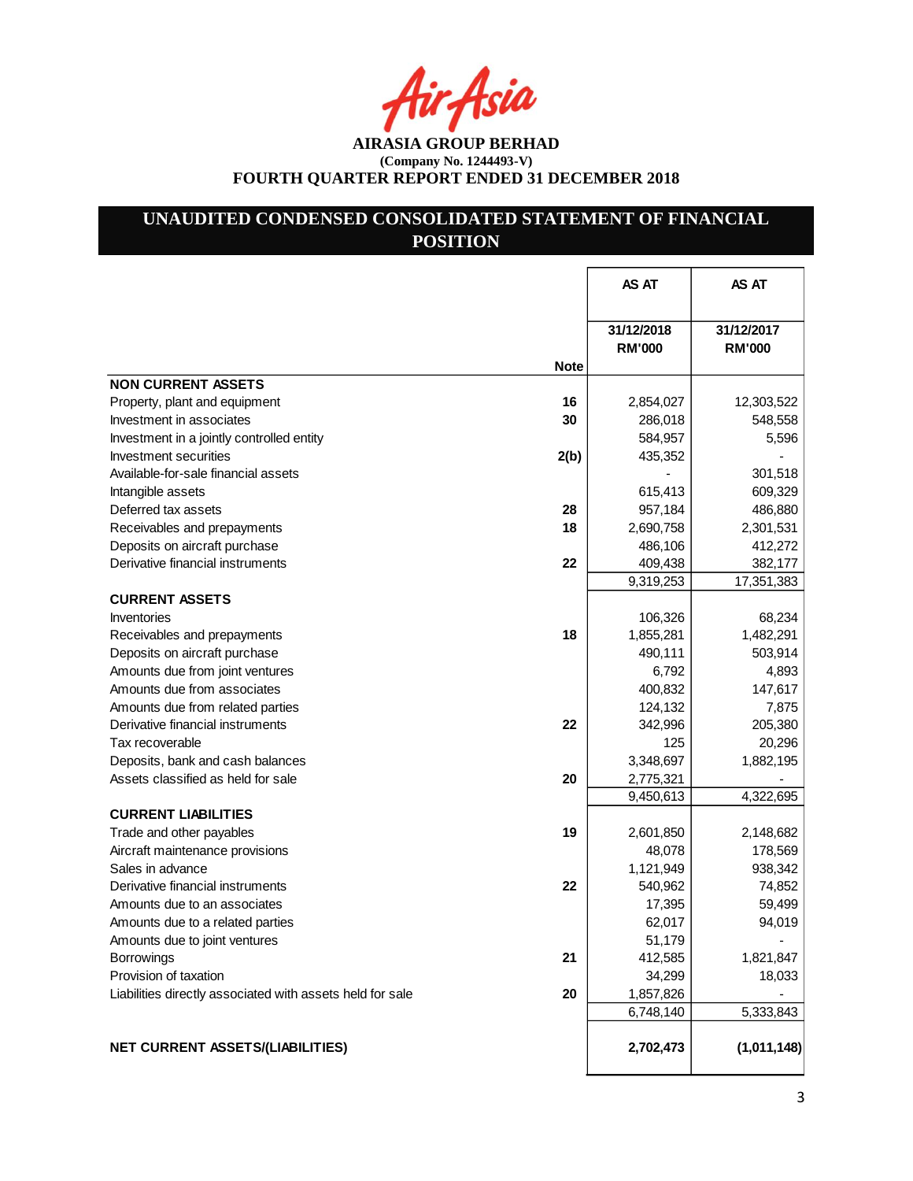ir Asia

**AIRASIA GROUP BERHAD (Company No. 1244493-V) FOURTH QUARTER REPORT ENDED 31 DECEMBER 2018**

# **UNAUDITED CONDENSED CONSOLIDATED STATEMENT OF FINANCIAL POSITION**

|                                                           |             | AS AT                       | AS AT                       |
|-----------------------------------------------------------|-------------|-----------------------------|-----------------------------|
|                                                           |             | 31/12/2018<br><b>RM'000</b> | 31/12/2017<br><b>RM'000</b> |
|                                                           | <b>Note</b> |                             |                             |
| <b>NON CURRENT ASSETS</b>                                 |             |                             |                             |
| Property, plant and equipment                             | 16          | 2,854,027                   | 12,303,522                  |
| Investment in associates                                  | 30          | 286,018                     | 548,558                     |
| Investment in a jointly controlled entity                 |             | 584,957                     | 5,596                       |
| Investment securities                                     | 2(b)        | 435,352                     |                             |
| Available-for-sale financial assets                       |             |                             | 301,518                     |
| Intangible assets                                         |             | 615,413                     | 609,329                     |
| Deferred tax assets                                       | 28          | 957,184                     | 486,880                     |
| Receivables and prepayments                               | 18          | 2,690,758                   | 2,301,531                   |
| Deposits on aircraft purchase                             |             | 486,106                     | 412,272                     |
| Derivative financial instruments                          | 22          | 409,438                     | 382,177                     |
|                                                           |             | 9,319,253                   | 17,351,383                  |
| <b>CURRENT ASSETS</b>                                     |             |                             |                             |
| <b>Inventories</b>                                        |             | 106,326                     | 68,234                      |
| Receivables and prepayments                               | 18          | 1,855,281                   | 1,482,291                   |
| Deposits on aircraft purchase                             |             | 490,111                     | 503,914                     |
| Amounts due from joint ventures                           |             | 6,792                       | 4,893                       |
| Amounts due from associates                               |             | 400,832                     | 147,617                     |
| Amounts due from related parties                          |             | 124,132                     | 7,875                       |
| Derivative financial instruments                          | 22          | 342,996                     | 205,380                     |
| Tax recoverable                                           |             | 125                         | 20,296                      |
| Deposits, bank and cash balances                          |             | 3,348,697                   | 1,882,195                   |
| Assets classified as held for sale                        | 20          | 2,775,321                   |                             |
|                                                           |             | 9,450,613                   | 4,322,695                   |
| <b>CURRENT LIABILITIES</b>                                |             |                             |                             |
| Trade and other payables                                  | 19          | 2,601,850                   | 2,148,682                   |
| Aircraft maintenance provisions                           |             | 48,078                      | 178,569                     |
| Sales in advance                                          |             | 1,121,949                   | 938,342                     |
| Derivative financial instruments                          | 22          | 540,962                     | 74,852                      |
| Amounts due to an associates                              |             | 17,395                      | 59,499                      |
| Amounts due to a related parties                          |             | 62,017                      | 94,019                      |
| Amounts due to joint ventures                             |             | 51,179                      |                             |
| Borrowings                                                | 21          | 412,585                     | 1,821,847                   |
| Provision of taxation                                     |             | 34,299                      | 18,033                      |
| Liabilities directly associated with assets held for sale | 20          | 1,857,826                   |                             |
|                                                           |             | 6,748,140                   | 5,333,843                   |
| <b>NET CURRENT ASSETS/(LIABILITIES)</b>                   |             | 2,702,473                   | (1,011,148)                 |
|                                                           |             |                             |                             |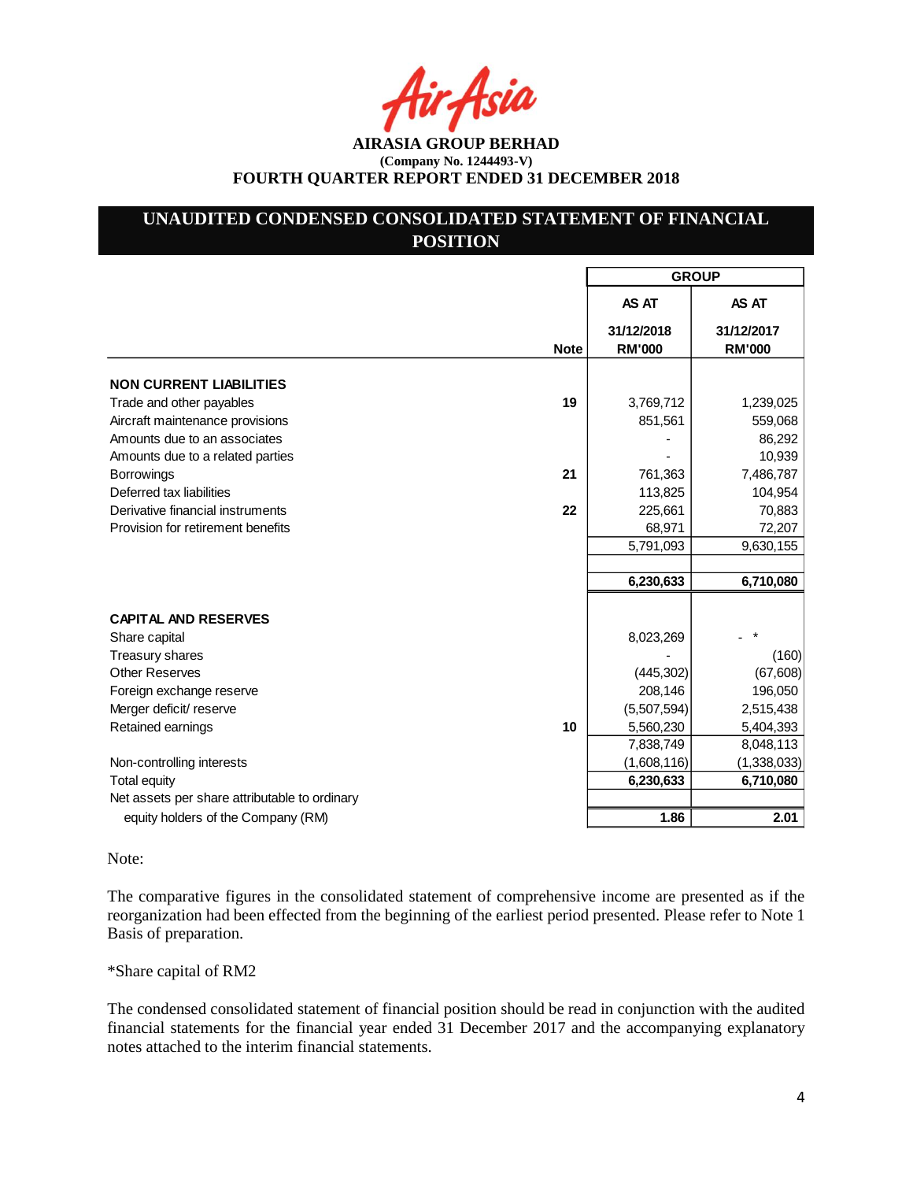Asia

**AIRASIA GROUP BERHAD (Company No. 1244493-V) FOURTH QUARTER REPORT ENDED 31 DECEMBER 2018**

# **UNAUDITED CONDENSED CONSOLIDATED STATEMENT OF FINANCIAL POSITION**

|                                               |             | <b>GROUP</b>                |                             |  |  |
|-----------------------------------------------|-------------|-----------------------------|-----------------------------|--|--|
|                                               |             | AS AT                       | AS AT                       |  |  |
|                                               | <b>Note</b> | 31/12/2018<br><b>RM'000</b> | 31/12/2017<br><b>RM'000</b> |  |  |
|                                               |             |                             |                             |  |  |
| <b>NON CURRENT LIABILITIES</b>                |             |                             |                             |  |  |
| Trade and other payables                      | 19          | 3,769,712                   | 1,239,025                   |  |  |
| Aircraft maintenance provisions               |             | 851,561                     | 559,068                     |  |  |
| Amounts due to an associates                  |             |                             | 86,292                      |  |  |
| Amounts due to a related parties              | 21          |                             | 10,939                      |  |  |
| <b>Borrowings</b><br>Deferred tax liabilities |             | 761,363<br>113,825          | 7,486,787<br>104,954        |  |  |
| Derivative financial instruments              | 22          | 225,661                     | 70,883                      |  |  |
| Provision for retirement benefits             |             | 68,971                      | 72,207                      |  |  |
|                                               |             | 5,791,093                   | 9,630,155                   |  |  |
|                                               |             |                             |                             |  |  |
|                                               |             | 6,230,633                   | 6,710,080                   |  |  |
|                                               |             |                             |                             |  |  |
| <b>CAPITAL AND RESERVES</b>                   |             |                             |                             |  |  |
| Share capital                                 |             | 8,023,269                   |                             |  |  |
| Treasury shares<br><b>Other Reserves</b>      |             | (445, 302)                  | (160)<br>(67, 608)          |  |  |
| Foreign exchange reserve                      |             | 208,146                     | 196,050                     |  |  |
| Merger deficit/ reserve                       |             | (5,507,594)                 | 2,515,438                   |  |  |
| Retained earnings                             | 10          | 5,560,230                   | 5,404,393                   |  |  |
|                                               |             | 7,838,749                   | 8,048,113                   |  |  |
| Non-controlling interests                     |             | (1,608,116)                 | (1,338,033)                 |  |  |
| <b>Total equity</b>                           |             | 6,230,633                   | 6,710,080                   |  |  |
| Net assets per share attributable to ordinary |             |                             |                             |  |  |
| equity holders of the Company (RM)            |             | 1.86                        | 2.01                        |  |  |
|                                               |             |                             |                             |  |  |

### Note:

The comparative figures in the consolidated statement of comprehensive income are presented as if the reorganization had been effected from the beginning of the earliest period presented. Please refer to Note 1 Basis of preparation.

### \*Share capital of RM2

The condensed consolidated statement of financial position should be read in conjunction with the audited financial statements for the financial year ended 31 December 2017 and the accompanying explanatory notes attached to the interim financial statements.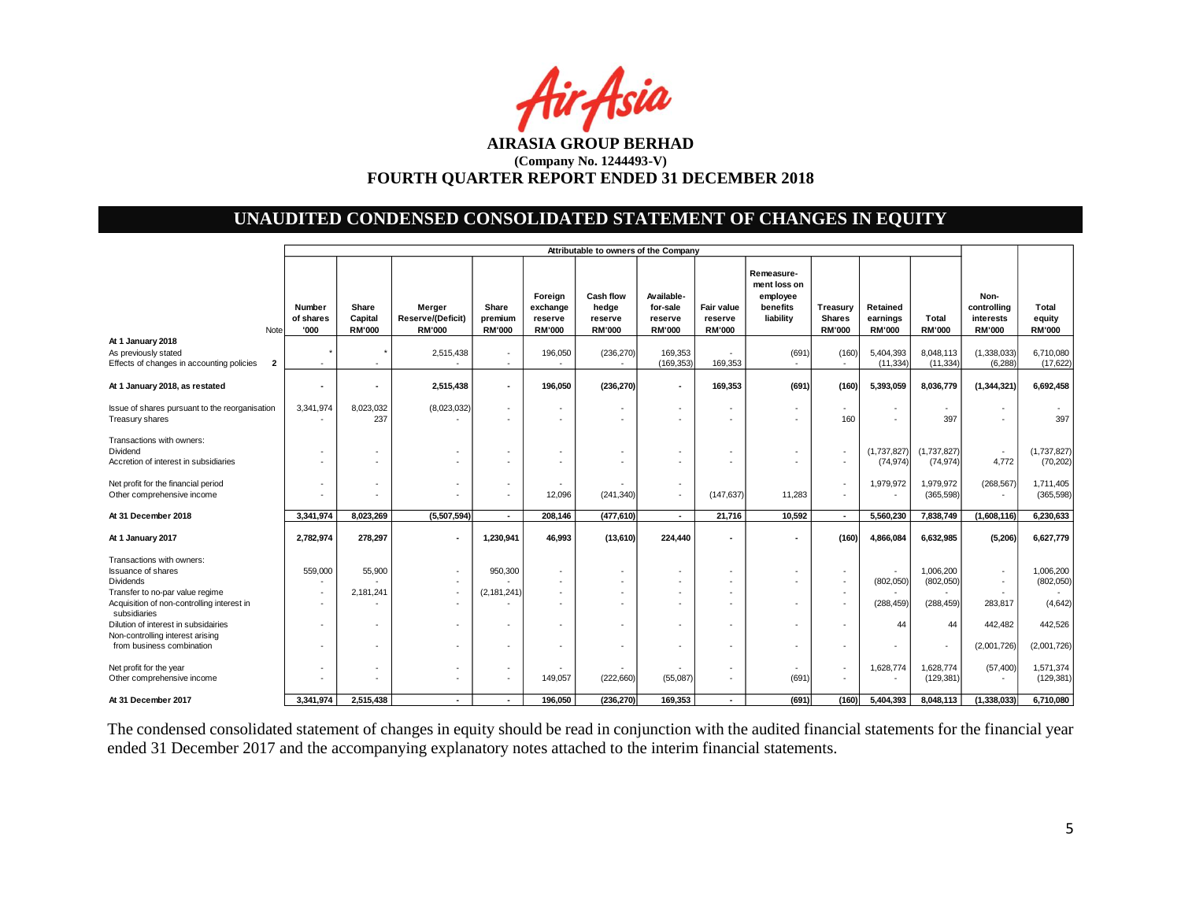

# **UNAUDITED CONDENSED CONSOLIDATED STATEMENT OF CHANGES IN EQUITY**

|                                                                                                               | Attributable to owners of the Company |                                   |                                                     |                                   |                                                 |                                                       |                                                    |                                        |                                                                 |                                            |                                       |                          |                                                   |                                  |
|---------------------------------------------------------------------------------------------------------------|---------------------------------------|-----------------------------------|-----------------------------------------------------|-----------------------------------|-------------------------------------------------|-------------------------------------------------------|----------------------------------------------------|----------------------------------------|-----------------------------------------------------------------|--------------------------------------------|---------------------------------------|--------------------------|---------------------------------------------------|----------------------------------|
| Note                                                                                                          | Number<br>of shares<br>'000           | Share<br>Capital<br><b>RM'000</b> | Merger<br><b>Reserve/(Deficit)</b><br><b>RM'000</b> | Share<br>premium<br><b>RM'000</b> | Foreign<br>exchange<br>reserve<br><b>RM'000</b> | <b>Cash flow</b><br>hedge<br>reserve<br><b>RM'000</b> | Available-<br>for-sale<br>reserve<br><b>RM'000</b> | Fair value<br>reserve<br><b>RM'000</b> | Remeasure-<br>ment loss on<br>employee<br>benefits<br>liability | Treasury<br><b>Shares</b><br><b>RM'000</b> | Retained<br>earnings<br><b>RM'000</b> | Total<br><b>RM'000</b>   | Non-<br>controlling<br>interests<br><b>RM'000</b> | Total<br>equity<br><b>RM'000</b> |
| At 1 January 2018<br>As previously stated<br>Effects of changes in accounting policies<br>$\overline{2}$      | $\sim$                                |                                   | 2,515,438<br>$\overline{a}$                         | $\overline{\phantom{a}}$          | 196,050<br>$\sim$                               | (236, 270)<br>$\sim$                                  | 169,353<br>(169, 353)                              | 169,353                                | (691)<br>$\sim$                                                 | (160)<br>$\overline{\phantom{a}}$          | 5,404,393<br>(11, 334)                | 8,048,113<br>(11, 334)   | (1,338,033)<br>(6, 288)                           | 6,710,080<br>(17, 622)           |
| At 1 January 2018, as restated                                                                                |                                       |                                   | 2,515,438                                           |                                   | 196,050                                         | (236, 270)                                            | $\blacksquare$                                     | 169,353                                | (691)                                                           | (160)                                      | 5,393,059                             | 8,036,779                | (1,344,321)                                       | 6,692,458                        |
| Issue of shares pursuant to the reorganisation<br>Treasury shares                                             | 3,341,974<br>$\overline{\phantom{a}}$ | 8,023,032<br>237                  | (8,023,032)                                         |                                   |                                                 | $\sim$                                                | $\overline{\phantom{a}}$<br>٠                      | ٠                                      | $\overline{\phantom{a}}$                                        | $\overline{\phantom{a}}$<br>160            |                                       | $\sim$<br>397            |                                                   | 397                              |
| Transactions with owners:<br>Dividend<br>Accretion of interest in subsidiaries                                |                                       |                                   |                                                     |                                   |                                                 |                                                       | ٠                                                  |                                        |                                                                 |                                            | (1,737,827)<br>(74, 974)              | (1,737,827)<br>(74, 974) | $\sim$<br>4,772                                   | (1,737,827)<br>(70, 202)         |
| Net profit for the financial period<br>Other comprehensive income                                             |                                       |                                   |                                                     |                                   | 12,096                                          | (241, 340)                                            | $\overline{\phantom{a}}$<br>٠                      | (147, 637)                             | 11,283                                                          |                                            | 1,979,972                             | 1,979,972<br>(365, 598)  | (268, 567)                                        | 1,711,405<br>(365, 598)          |
| At 31 December 2018                                                                                           | 3,341,974                             | 8,023,269                         | (5,507,594)                                         | $\blacksquare$                    | 208,146                                         | (477, 610)                                            | $\blacksquare$                                     | 21,716                                 | 10,592                                                          | $\blacksquare$                             | 5,560,230                             | 7,838,749                | (1,608,116)                                       | 6,230,633                        |
| At 1 January 2017                                                                                             | 2,782,974                             | 278,297                           |                                                     | 1,230,941                         | 46,993                                          | (13,610)                                              | 224,440                                            | $\blacksquare$                         |                                                                 | (160)                                      | 4,866,084                             | 6,632,985                | (5,206)                                           | 6,627,779                        |
| Transactions with owners:<br><b>Issuance of shares</b><br><b>Dividends</b><br>Transfer to no-par value regime | 559,000<br>$\sim$                     | 55,900<br>2,181,241               |                                                     | 950,300<br>(2, 181, 241)          |                                                 | $\overline{a}$                                        | ٠                                                  | ٠                                      |                                                                 |                                            | (802,050)                             | 1,006,200<br>(802,050)   |                                                   | 1,006,200<br>(802, 050)          |
| Acquisition of non-controlling interest in<br>subsidiaries                                                    |                                       |                                   |                                                     |                                   |                                                 |                                                       |                                                    |                                        |                                                                 |                                            | (288, 459)                            | (288, 459)               | 283,817                                           | (4,642)                          |
| Dilution of interest in subsidairies<br>Non-controlling interest arising                                      |                                       |                                   |                                                     |                                   |                                                 |                                                       | ٠                                                  |                                        |                                                                 |                                            | 44                                    | 44                       | 442,482                                           | 442,526                          |
| from business combination                                                                                     |                                       |                                   |                                                     |                                   |                                                 |                                                       | ٠                                                  |                                        |                                                                 |                                            |                                       |                          | (2,001,726)                                       | (2,001,726)                      |
| Net profit for the year<br>Other comprehensive income                                                         |                                       |                                   |                                                     |                                   | 149,057                                         | (222, 660)                                            | (55,087)                                           | ٠                                      | $\overline{\phantom{a}}$<br>(691                                | ٠                                          | 1,628,774                             | 1,628,774<br>(129, 381)  | (57, 400)                                         | 1,571,374<br>(129, 381)          |
| At 31 December 2017                                                                                           | 3,341,974                             | 2.515.438                         |                                                     |                                   | 196.050                                         | (236, 270)                                            | 169,353                                            | $\blacksquare$                         | (691)                                                           | (160)                                      | 5,404,393                             | 8,048,113                | (1,338,033)                                       | 6,710,080                        |

The condensed consolidated statement of changes in equity should be read in conjunction with the audited financial statements for the financial year ended 31 December 2017 and the accompanying explanatory notes attached to the interim financial statements.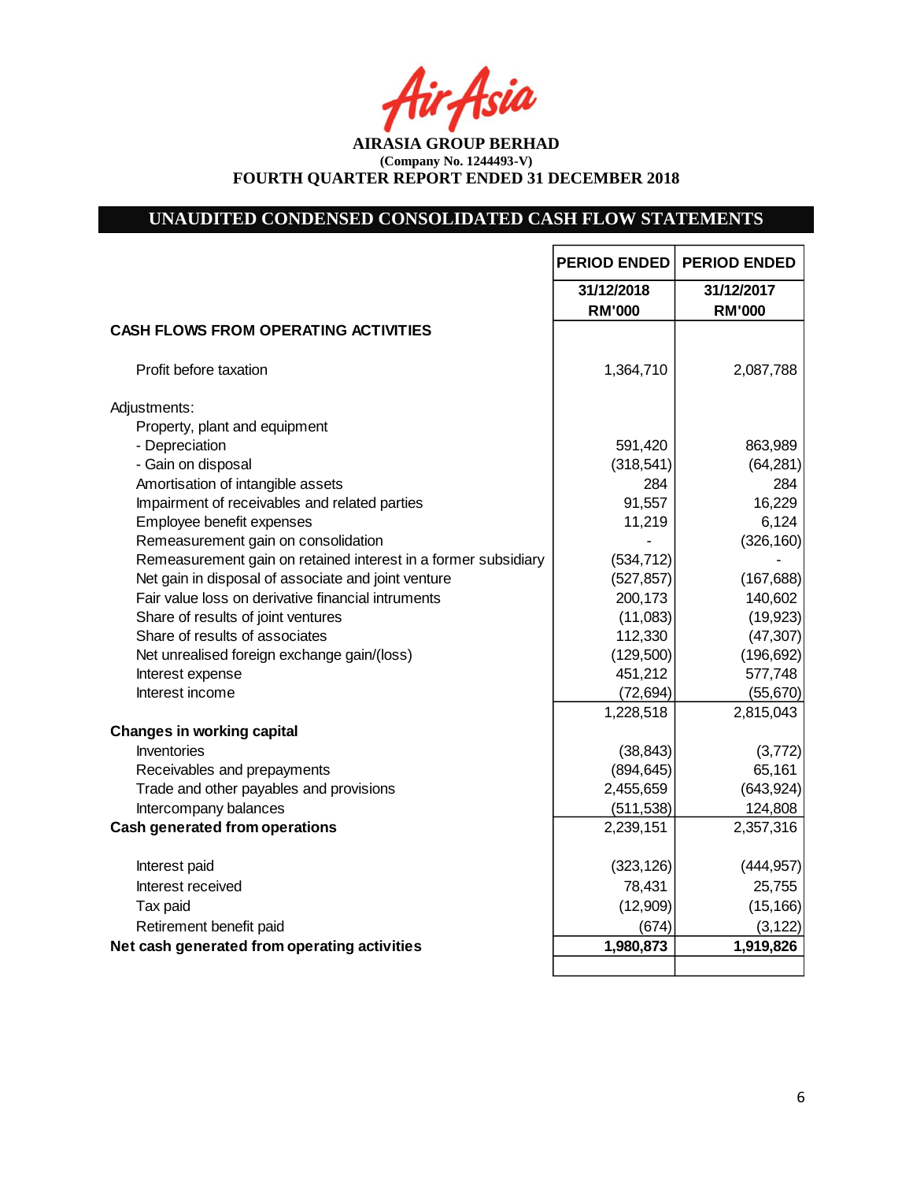tir Asia

**AIRASIA GROUP BERHAD (Company No. 1244493-V) FOURTH QUARTER REPORT ENDED 31 DECEMBER 2018**

# **UNAUDITED CONDENSED CONSOLIDATED CASH FLOW STATEMENTS**

|                                                                | <b>PERIOD ENDED</b> | <b>PERIOD ENDED</b> |
|----------------------------------------------------------------|---------------------|---------------------|
|                                                                | 31/12/2018          | 31/12/2017          |
|                                                                | <b>RM'000</b>       | <b>RM'000</b>       |
| <b>CASH FLOWS FROM OPERATING ACTIVITIES</b>                    |                     |                     |
| Profit before taxation                                         | 1,364,710           | 2,087,788           |
| Adjustments:                                                   |                     |                     |
| Property, plant and equipment                                  |                     |                     |
| - Depreciation                                                 | 591,420             | 863,989             |
| - Gain on disposal                                             | (318, 541)          | (64, 281)           |
| Amortisation of intangible assets                              | 284                 | 284                 |
| Impairment of receivables and related parties                  | 91,557              | 16,229              |
| Employee benefit expenses                                      | 11,219              | 6,124               |
| Remeasurement gain on consolidation                            |                     | (326, 160)          |
| Remeasurement gain on retained interest in a former subsidiary | (534, 712)          |                     |
| Net gain in disposal of associate and joint venture            | (527, 857)          | (167, 688)          |
| Fair value loss on derivative financial intruments             | 200,173             | 140,602             |
| Share of results of joint ventures                             | (11,083)            | (19, 923)           |
| Share of results of associates                                 | 112,330             | (47, 307)           |
| Net unrealised foreign exchange gain/(loss)                    | (129,500)           | (196, 692)          |
| Interest expense                                               | 451,212             | 577,748             |
| Interest income                                                | (72, 694)           | (55, 670)           |
|                                                                | 1,228,518           | 2,815,043           |
| <b>Changes in working capital</b>                              |                     |                     |
| Inventories                                                    | (38, 843)           | (3,772)             |
| Receivables and prepayments                                    | (894, 645)          | 65,161              |
| Trade and other payables and provisions                        | 2,455,659           | (643, 924)          |
| Intercompany balances                                          | (511, 538)          | 124,808             |
| <b>Cash generated from operations</b>                          | 2,239,151           | 2,357,316           |
| Interest paid                                                  | (323, 126)          | (444, 957)          |
| Interest received                                              | 78,431              | 25,755              |
| Tax paid                                                       | (12,909)            | (15, 166)           |
| Retirement benefit paid                                        | (674)               | (3, 122)            |
| Net cash generated from operating activities                   | 1,980,873           | 1,919,826           |
|                                                                |                     |                     |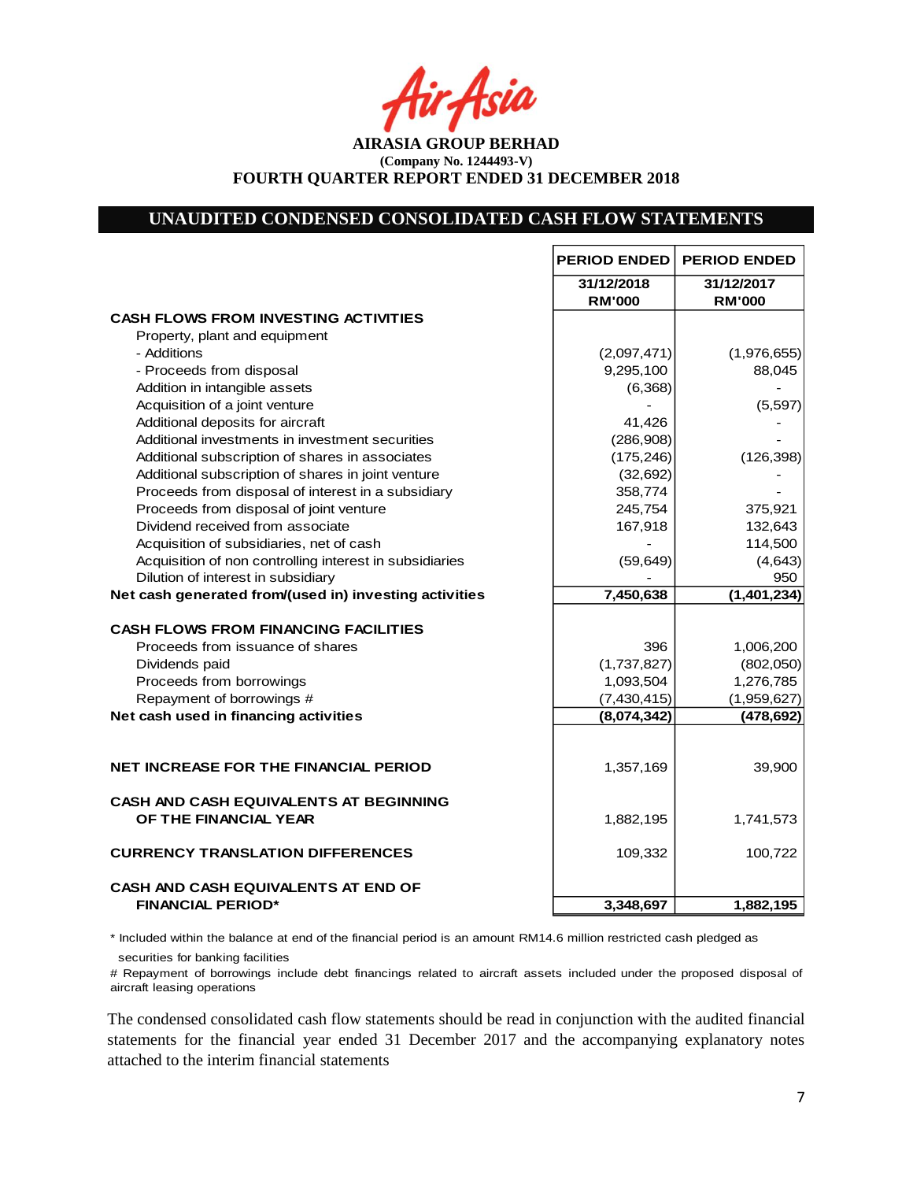Asia

**AIRASIA GROUP BERHAD (Company No. 1244493-V) FOURTH QUARTER REPORT ENDED 31 DECEMBER 2018**

### **UNAUDITED CONDENSED CONSOLIDATED CASH FLOW STATEMENTS**

|                                                         | <b>PERIOD ENDED</b>         | <b>PERIOD ENDED</b>         |
|---------------------------------------------------------|-----------------------------|-----------------------------|
|                                                         | 31/12/2018<br><b>RM'000</b> | 31/12/2017<br><b>RM'000</b> |
| <b>CASH FLOWS FROM INVESTING ACTIVITIES</b>             |                             |                             |
| Property, plant and equipment                           |                             |                             |
| - Additions                                             | (2,097,471)                 | (1,976,655)                 |
| - Proceeds from disposal                                | 9,295,100                   | 88,045                      |
| Addition in intangible assets                           | (6,368)                     |                             |
| Acquisition of a joint venture                          |                             | (5,597)                     |
| Additional deposits for aircraft                        | 41,426                      |                             |
| Additional investments in investment securities         | (286,908)                   |                             |
| Additional subscription of shares in associates         | (175, 246)                  | (126, 398)                  |
| Additional subscription of shares in joint venture      | (32, 692)                   |                             |
| Proceeds from disposal of interest in a subsidiary      | 358,774                     |                             |
| Proceeds from disposal of joint venture                 | 245,754                     | 375,921                     |
| Dividend received from associate                        | 167,918                     | 132,643                     |
| Acquisition of subsidiaries, net of cash                |                             | 114,500                     |
| Acquisition of non controlling interest in subsidiaries | (59, 649)                   | (4,643)                     |
| Dilution of interest in subsidiary                      |                             | 950                         |
| Net cash generated from/(used in) investing activities  | 7,450,638                   | (1,401,234)                 |
| <b>CASH FLOWS FROM FINANCING FACILITIES</b>             |                             |                             |
| Proceeds from issuance of shares                        | 396                         | 1,006,200                   |
| Dividends paid                                          | (1,737,827)                 | (802,050)                   |
| Proceeds from borrowings                                | 1,093,504                   | 1,276,785                   |
| Repayment of borrowings #                               | (7,430,415)                 | (1,959,627)                 |
| Net cash used in financing activities                   | (8,074,342)                 | (478, 692)                  |
|                                                         |                             |                             |
| <b>NET INCREASE FOR THE FINANCIAL PERIOD</b>            | 1,357,169                   | 39,900                      |
| <b>CASH AND CASH EQUIVALENTS AT BEGINNING</b>           |                             |                             |
| OF THE FINANCIAL YEAR                                   | 1,882,195                   | 1,741,573                   |
| <b>CURRENCY TRANSLATION DIFFERENCES</b>                 | 109,332                     | 100,722                     |
| <b>CASH AND CASH EQUIVALENTS AT END OF</b>              |                             |                             |
| <b>FINANCIAL PERIOD*</b>                                | 3,348,697                   | 1,882,195                   |

\* Included within the balance at end of the financial period is an amount RM14.6 million restricted cash pledged as

securities for banking facilities

# Repayment of borrowings include debt financings related to aircraft assets included under the proposed disposal of aircraft leasing operations

The condensed consolidated cash flow statements should be read in conjunction with the audited financial statements for the financial year ended 31 December 2017 and the accompanying explanatory notes attached to the interim financial statements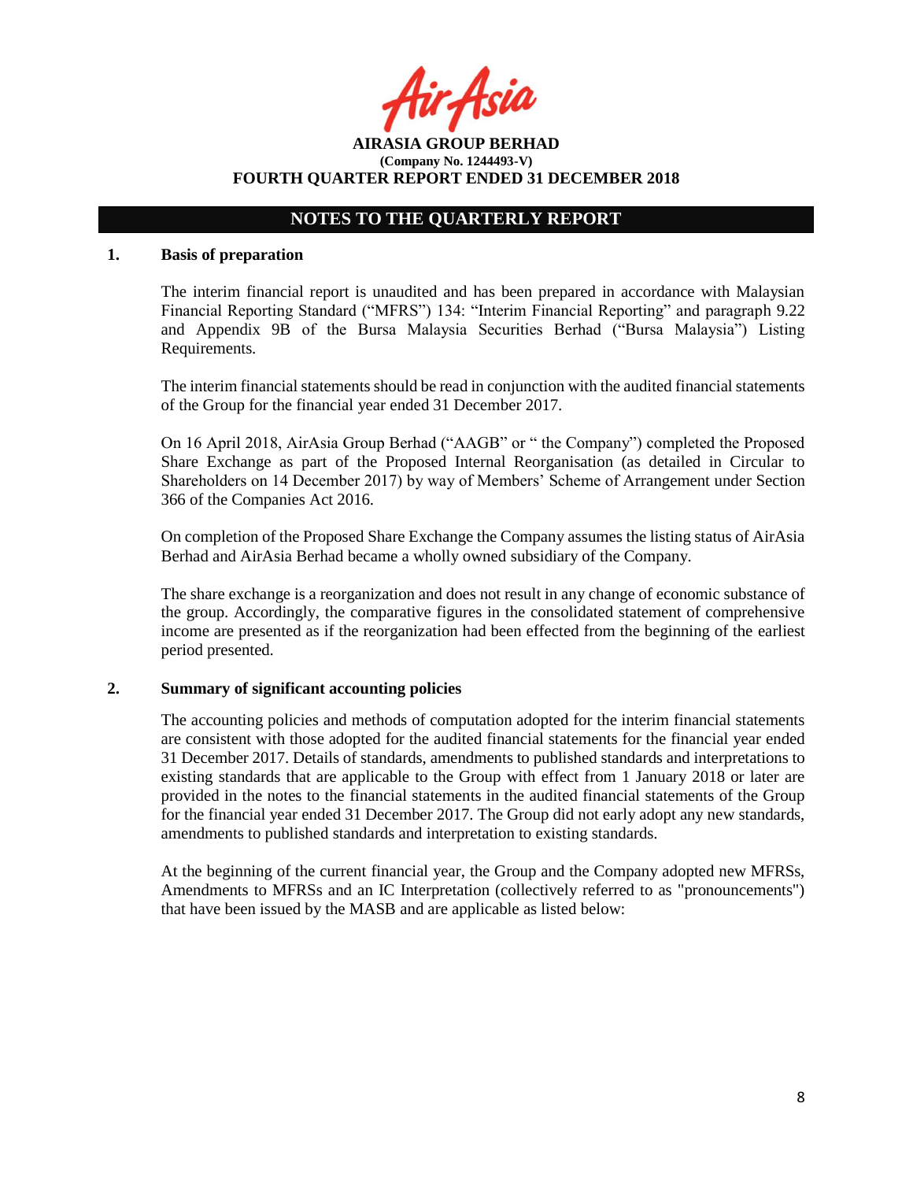Asil

**AIRASIA GROUP BERHAD (Company No. 1244493-V) FOURTH QUARTER REPORT ENDED 31 DECEMBER 2018**

## **NOTES TO THE QUARTERLY REPORT**

### **1. Basis of preparation**

The interim financial report is unaudited and has been prepared in accordance with Malaysian Financial Reporting Standard ("MFRS") 134: "Interim Financial Reporting" and paragraph 9.22 and Appendix 9B of the Bursa Malaysia Securities Berhad ("Bursa Malaysia") Listing Requirements.

The interim financial statements should be read in conjunction with the audited financial statements of the Group for the financial year ended 31 December 2017.

On 16 April 2018, AirAsia Group Berhad ("AAGB" or " the Company") completed the Proposed Share Exchange as part of the Proposed Internal Reorganisation (as detailed in Circular to Shareholders on 14 December 2017) by way of Members' Scheme of Arrangement under Section 366 of the Companies Act 2016.

On completion of the Proposed Share Exchange the Company assumes the listing status of AirAsia Berhad and AirAsia Berhad became a wholly owned subsidiary of the Company.

The share exchange is a reorganization and does not result in any change of economic substance of the group. Accordingly, the comparative figures in the consolidated statement of comprehensive income are presented as if the reorganization had been effected from the beginning of the earliest period presented.

### **2. Summary of significant accounting policies**

The accounting policies and methods of computation adopted for the interim financial statements are consistent with those adopted for the audited financial statements for the financial year ended 31 December 2017. Details of standards, amendments to published standards and interpretations to existing standards that are applicable to the Group with effect from 1 January 2018 or later are provided in the notes to the financial statements in the audited financial statements of the Group for the financial year ended 31 December 2017. The Group did not early adopt any new standards, amendments to published standards and interpretation to existing standards.

At the beginning of the current financial year, the Group and the Company adopted new MFRSs, Amendments to MFRSs and an IC Interpretation (collectively referred to as "pronouncements") that have been issued by the MASB and are applicable as listed below: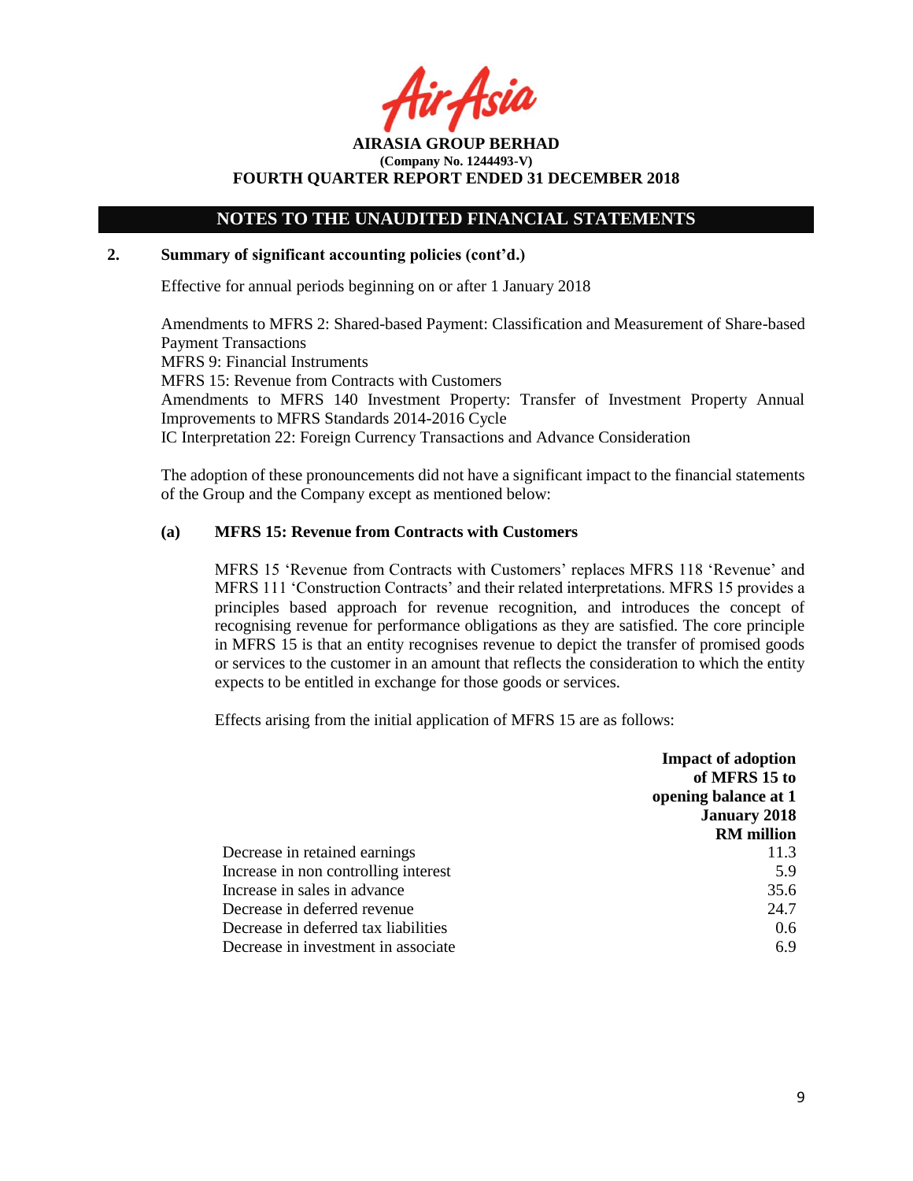Asid

**AIRASIA GROUP BERHAD (Company No. 1244493-V) FOURTH QUARTER REPORT ENDED 31 DECEMBER 2018**

### **2. Summary of significant accounting policies (cont'd.)**

Effective for annual periods beginning on or after 1 January 2018

Amendments to MFRS 2: Shared-based Payment: Classification and Measurement of Share-based Payment Transactions MFRS 9: Financial Instruments MFRS 15: Revenue from Contracts with Customers Amendments to MFRS 140 Investment Property: Transfer of Investment Property Annual Improvements to MFRS Standards 2014-2016 Cycle IC Interpretation 22: Foreign Currency Transactions and Advance Consideration

The adoption of these pronouncements did not have a significant impact to the financial statements of the Group and the Company except as mentioned below:

### **(a) MFRS 15: Revenue from Contracts with Customers**

MFRS 15 'Revenue from Contracts with Customers' replaces MFRS 118 'Revenue' and MFRS 111 'Construction Contracts' and their related interpretations. MFRS 15 provides a principles based approach for revenue recognition, and introduces the concept of recognising revenue for performance obligations as they are satisfied. The core principle in MFRS 15 is that an entity recognises revenue to depict the transfer of promised goods or services to the customer in an amount that reflects the consideration to which the entity expects to be entitled in exchange for those goods or services.

Effects arising from the initial application of MFRS 15 are as follows:

|                                      | <b>Impact of adoption</b><br>of MFRS 15 to |
|--------------------------------------|--------------------------------------------|
|                                      | opening balance at 1                       |
|                                      | <b>January 2018</b>                        |
|                                      | <b>RM</b> million                          |
| Decrease in retained earnings        | 11.3                                       |
| Increase in non controlling interest | 5.9                                        |
| Increase in sales in advance         | 35.6                                       |
| Decrease in deferred revenue         | 24.7                                       |
| Decrease in deferred tax liabilities | $0.6^{\circ}$                              |
| Decrease in investment in associate  | 6.9                                        |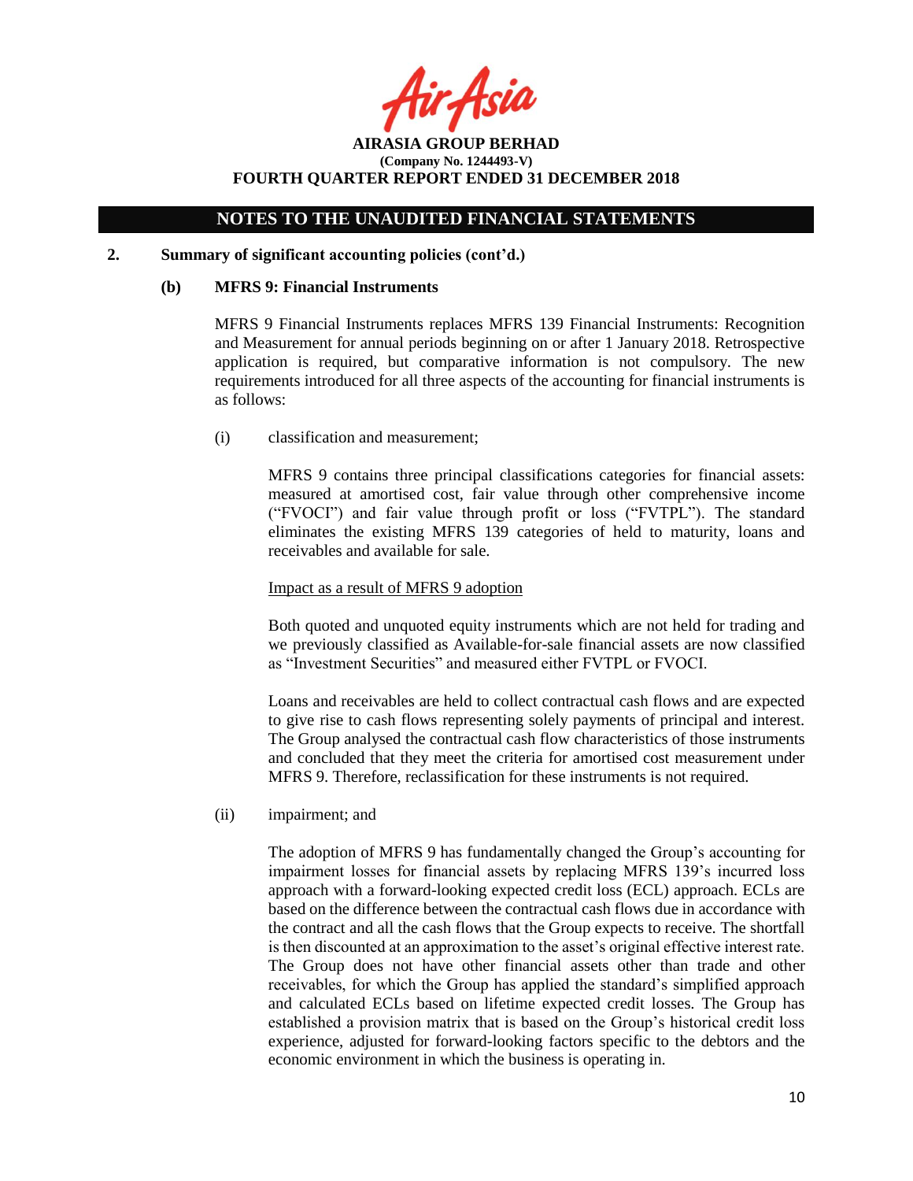rAsia

**AIRASIA GROUP BERHAD (Company No. 1244493-V) FOURTH QUARTER REPORT ENDED 31 DECEMBER 2018**

### **2. Summary of significant accounting policies (cont'd.)**

### **(b) MFRS 9: Financial Instruments**

MFRS 9 Financial Instruments replaces MFRS 139 Financial Instruments: Recognition and Measurement for annual periods beginning on or after 1 January 2018. Retrospective application is required, but comparative information is not compulsory. The new requirements introduced for all three aspects of the accounting for financial instruments is as follows:

(i) classification and measurement;

MFRS 9 contains three principal classifications categories for financial assets: measured at amortised cost, fair value through other comprehensive income ("FVOCI") and fair value through profit or loss ("FVTPL"). The standard eliminates the existing MFRS 139 categories of held to maturity, loans and receivables and available for sale.

### Impact as a result of MFRS 9 adoption

Both quoted and unquoted equity instruments which are not held for trading and we previously classified as Available-for-sale financial assets are now classified as "Investment Securities" and measured either FVTPL or FVOCI.

Loans and receivables are held to collect contractual cash flows and are expected to give rise to cash flows representing solely payments of principal and interest. The Group analysed the contractual cash flow characteristics of those instruments and concluded that they meet the criteria for amortised cost measurement under MFRS 9. Therefore, reclassification for these instruments is not required.

(ii) impairment; and

The adoption of MFRS 9 has fundamentally changed the Group's accounting for impairment losses for financial assets by replacing MFRS 139's incurred loss approach with a forward-looking expected credit loss (ECL) approach. ECLs are based on the difference between the contractual cash flows due in accordance with the contract and all the cash flows that the Group expects to receive. The shortfall is then discounted at an approximation to the asset's original effective interest rate. The Group does not have other financial assets other than trade and other receivables, for which the Group has applied the standard's simplified approach and calculated ECLs based on lifetime expected credit losses. The Group has established a provision matrix that is based on the Group's historical credit loss experience, adjusted for forward-looking factors specific to the debtors and the economic environment in which the business is operating in.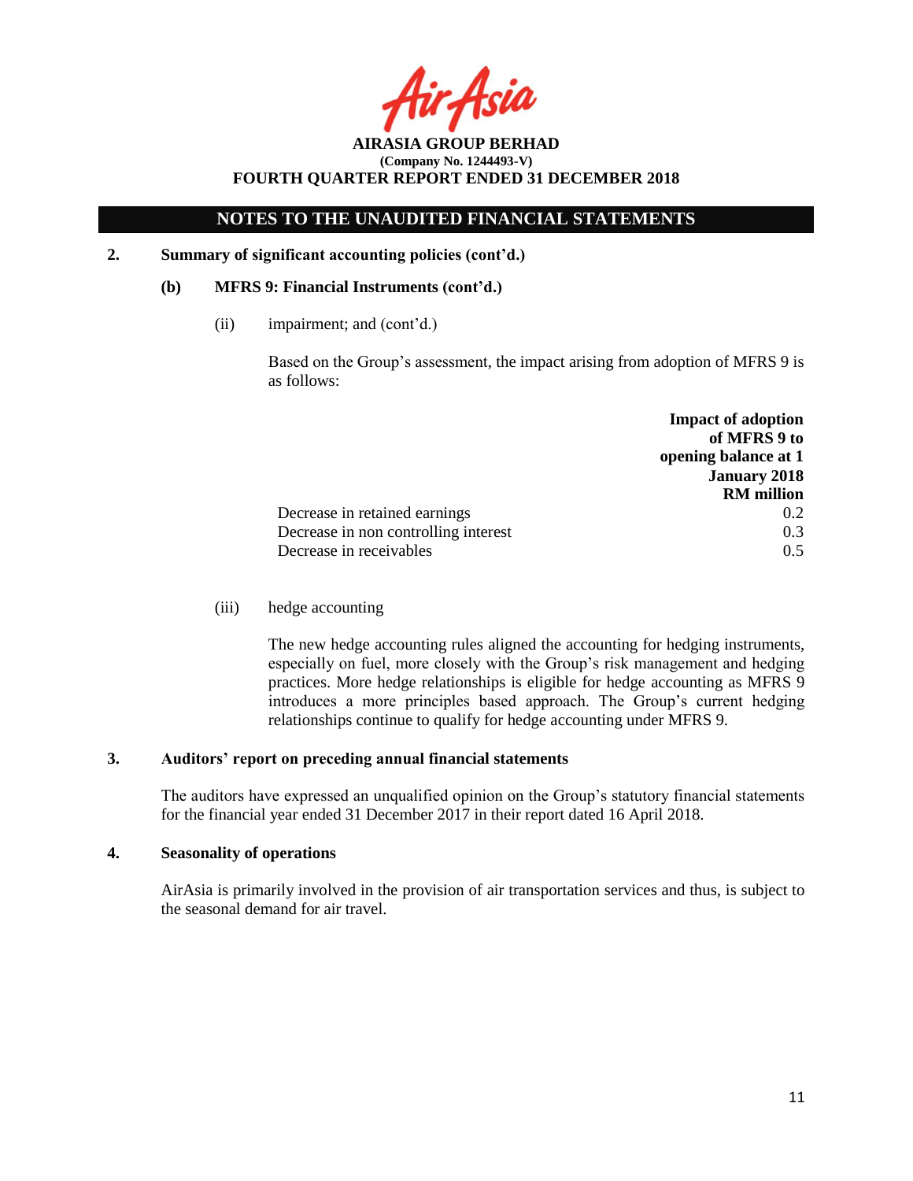Asil

**AIRASIA GROUP BERHAD (Company No. 1244493-V) FOURTH QUARTER REPORT ENDED 31 DECEMBER 2018**

**2. Summary of significant accounting policies (cont'd.)**

### **(b) MFRS 9: Financial Instruments (cont'd.)**

(ii) impairment; and (cont'd.)

Based on the Group's assessment, the impact arising from adoption of MFRS 9 is as follows:

|                                      | <b>Impact of adoption</b>            |
|--------------------------------------|--------------------------------------|
|                                      | of MFRS 9 to<br>opening balance at 1 |
|                                      | <b>January 2018</b>                  |
|                                      | <b>RM</b> million                    |
| Decrease in retained earnings        | 0.2                                  |
| Decrease in non controlling interest | 0.3                                  |
| Decrease in receivables              | 0.5                                  |

### (iii) hedge accounting

The new hedge accounting rules aligned the accounting for hedging instruments, especially on fuel, more closely with the Group's risk management and hedging practices. More hedge relationships is eligible for hedge accounting as MFRS 9 introduces a more principles based approach. The Group's current hedging relationships continue to qualify for hedge accounting under MFRS 9.

### **3. Auditors' report on preceding annual financial statements**

The auditors have expressed an unqualified opinion on the Group's statutory financial statements for the financial year ended 31 December 2017 in their report dated 16 April 2018.

### **4. Seasonality of operations**

AirAsia is primarily involved in the provision of air transportation services and thus, is subject to the seasonal demand for air travel.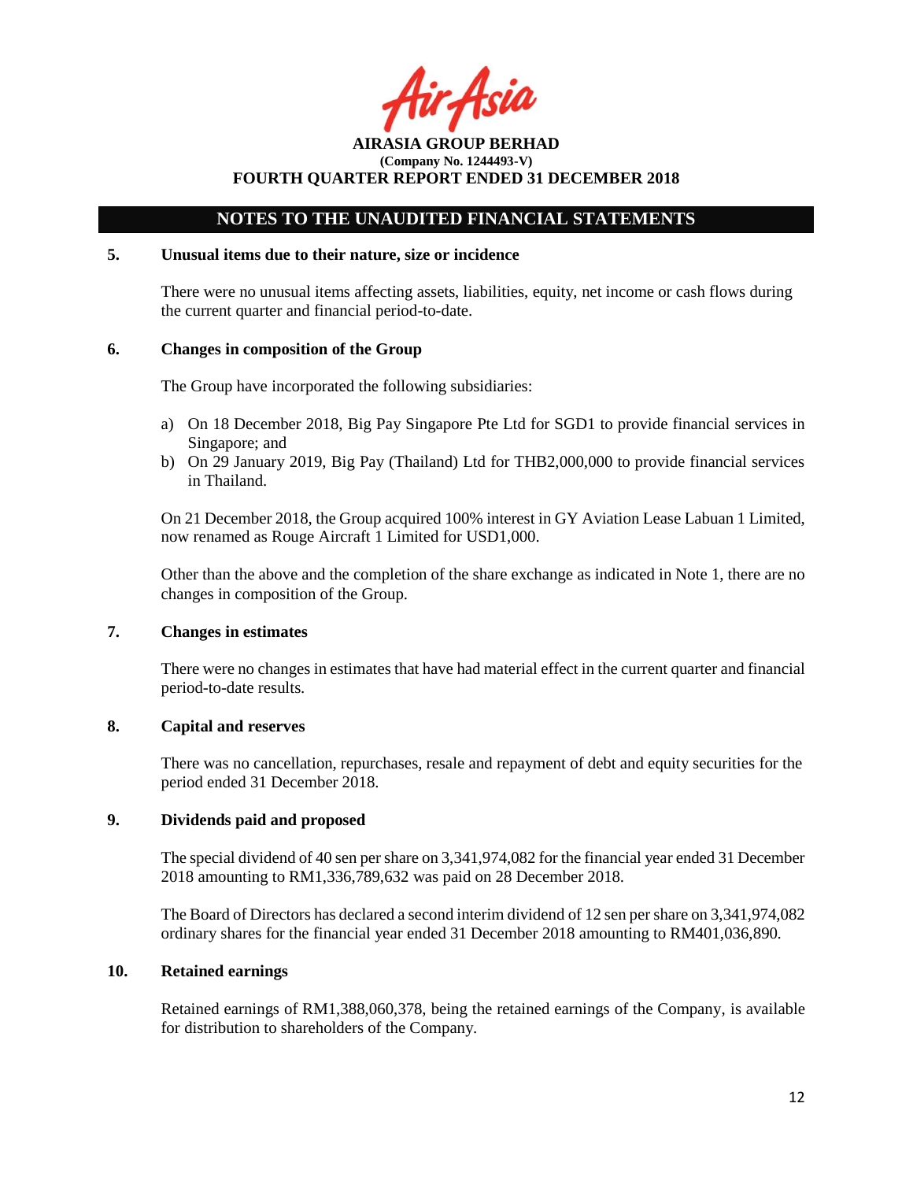r Asil

## **NOTES TO THE UNAUDITED FINANCIAL STATEMENTS**

### **5. Unusual items due to their nature, size or incidence**

There were no unusual items affecting assets, liabilities, equity, net income or cash flows during the current quarter and financial period-to-date.

## **6. Changes in composition of the Group**

The Group have incorporated the following subsidiaries:

- a) On 18 December 2018, Big Pay Singapore Pte Ltd for SGD1 to provide financial services in Singapore; and
- b) On 29 January 2019, Big Pay (Thailand) Ltd for THB2,000,000 to provide financial services in Thailand.

On 21 December 2018, the Group acquired 100% interest in GY Aviation Lease Labuan 1 Limited, now renamed as Rouge Aircraft 1 Limited for USD1,000.

Other than the above and the completion of the share exchange as indicated in Note 1, there are no changes in composition of the Group.

## **7. Changes in estimates**

There were no changes in estimates that have had material effect in the current quarter and financial period-to-date results.

## **8. Capital and reserves**

There was no cancellation, repurchases, resale and repayment of debt and equity securities for the period ended 31 December 2018.

## **9. Dividends paid and proposed**

The special dividend of 40 sen per share on 3,341,974,082 for the financial year ended 31 December 2018 amounting to RM1,336,789,632 was paid on 28 December 2018.

The Board of Directors has declared a second interim dividend of 12 sen per share on 3,341,974,082 ordinary shares for the financial year ended 31 December 2018 amounting to RM401,036,890.

### **10. Retained earnings**

Retained earnings of RM1,388,060,378, being the retained earnings of the Company, is available for distribution to shareholders of the Company.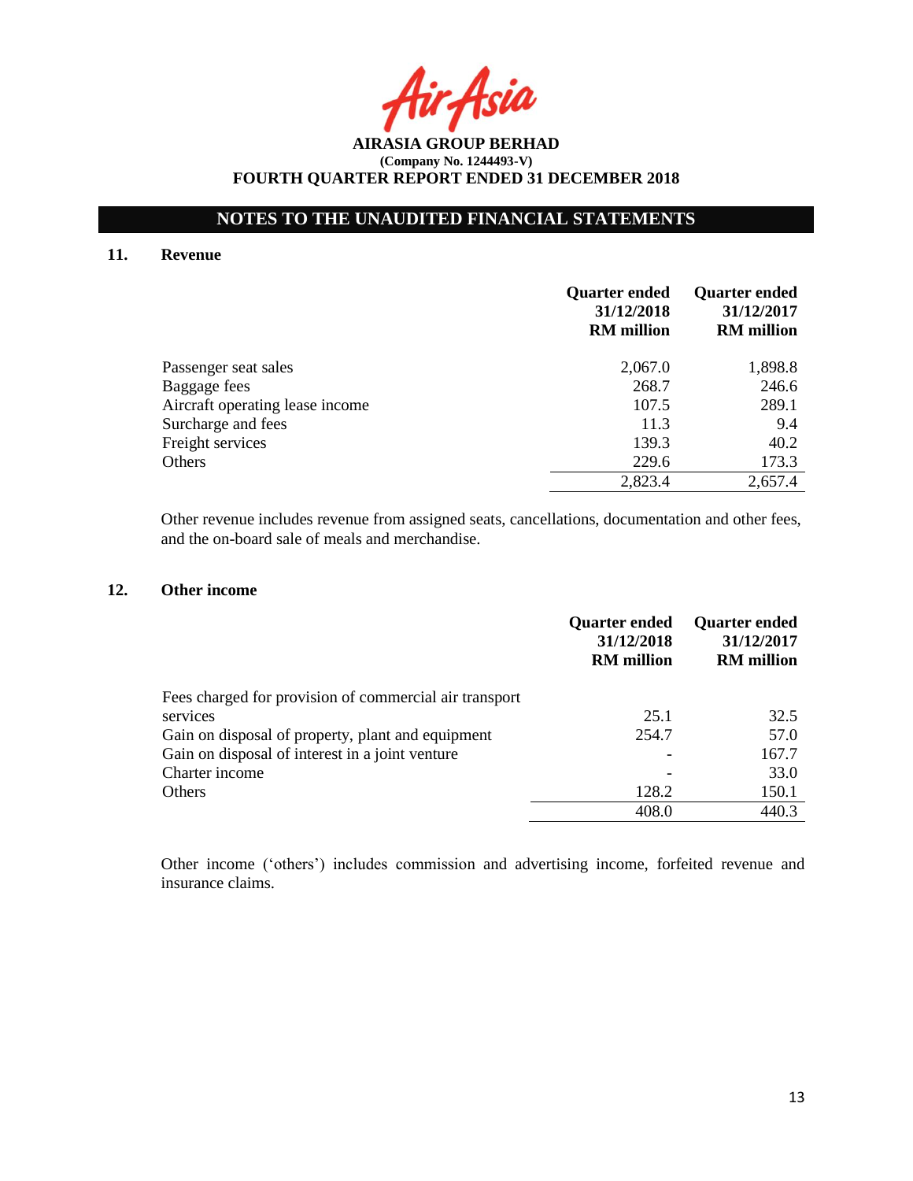Asia

**AIRASIA GROUP BERHAD (Company No. 1244493-V) FOURTH QUARTER REPORT ENDED 31 DECEMBER 2018**

### **11. Revenue**

|                                 | <b>Quarter ended</b><br>31/12/2018<br><b>RM</b> million | <b>Quarter ended</b><br>31/12/2017<br><b>RM</b> million |
|---------------------------------|---------------------------------------------------------|---------------------------------------------------------|
| Passenger seat sales            | 2,067.0                                                 | 1,898.8                                                 |
| Baggage fees                    | 268.7                                                   | 246.6                                                   |
| Aircraft operating lease income | 107.5                                                   | 289.1                                                   |
| Surcharge and fees              | 11.3                                                    | 9.4                                                     |
| Freight services                | 139.3                                                   | 40.2                                                    |
| Others                          | 229.6                                                   | 173.3                                                   |
|                                 | 2,823.4                                                 | 2,657.4                                                 |

Other revenue includes revenue from assigned seats, cancellations, documentation and other fees, and the on-board sale of meals and merchandise.

## **12. Other income**

|                                                        | <b>Quarter ended</b><br>31/12/2018<br><b>RM</b> million | <b>Quarter ended</b><br>31/12/2017<br><b>RM</b> million |
|--------------------------------------------------------|---------------------------------------------------------|---------------------------------------------------------|
| Fees charged for provision of commercial air transport |                                                         |                                                         |
| services                                               | 25.1                                                    | 32.5                                                    |
| Gain on disposal of property, plant and equipment      | 254.7                                                   | 57.0                                                    |
| Gain on disposal of interest in a joint venture        |                                                         | 167.7                                                   |
| Charter income                                         |                                                         | 33.0                                                    |
| Others                                                 | 128.2                                                   | 150.1                                                   |
|                                                        | 408.0                                                   | 440.3                                                   |

Other income ('others') includes commission and advertising income, forfeited revenue and insurance claims.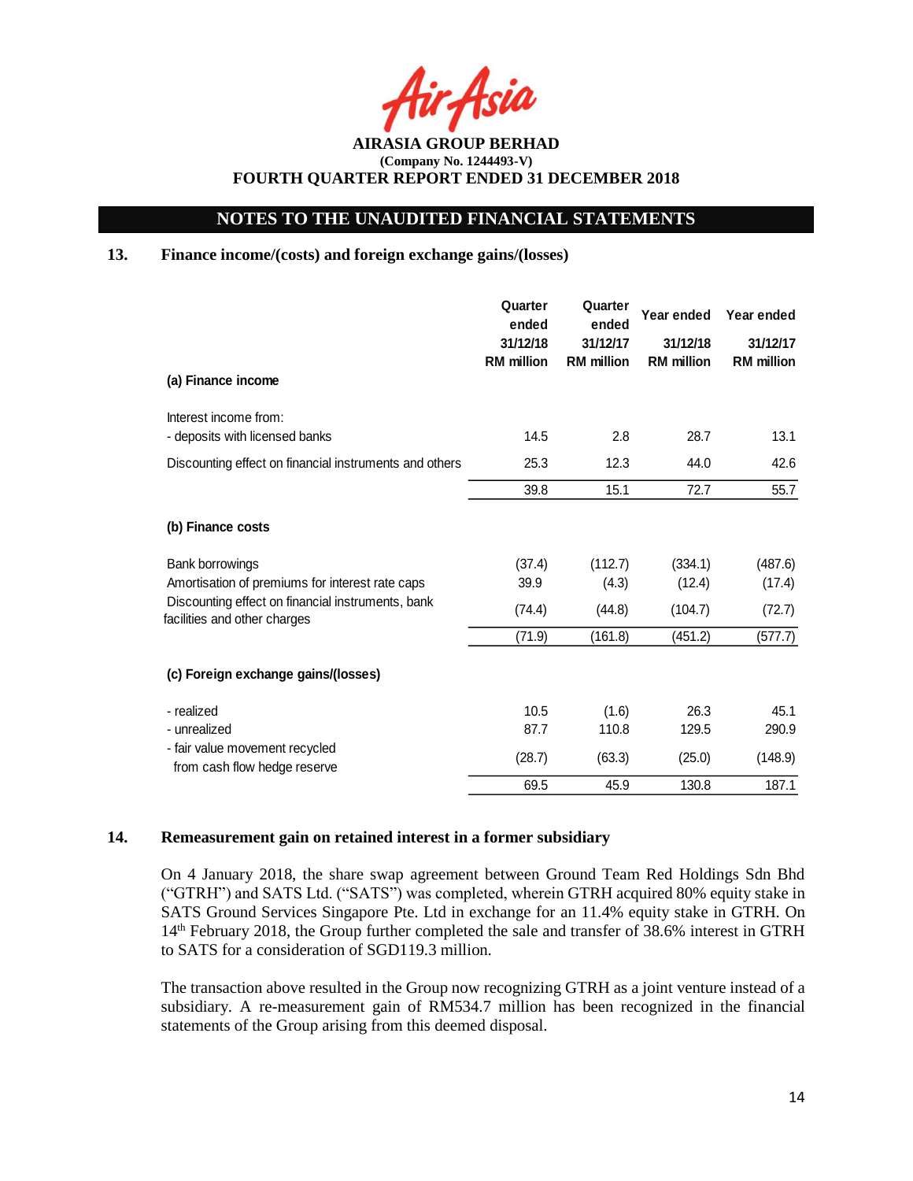**AIRASIA GROUP BERHAD (Company No. 1244493-V) FOURTH QUARTER REPORT ENDED 31 DECEMBER 2018**

### **13. Finance income/(costs) and foreign exchange gains/(losses)**

| (a) Finance income                                                                | Quarter<br>ended<br>31/12/18<br><b>RM</b> million | Quarter<br>ended<br>31/12/17<br><b>RM</b> million | Year ended<br>31/12/18<br><b>RM</b> million | Year ended<br>31/12/17<br><b>RM</b> million |
|-----------------------------------------------------------------------------------|---------------------------------------------------|---------------------------------------------------|---------------------------------------------|---------------------------------------------|
| Interest income from:                                                             |                                                   |                                                   |                                             |                                             |
| - deposits with licensed banks                                                    | 14.5                                              | 2.8                                               | 28.7                                        | 13.1                                        |
| Discounting effect on financial instruments and others                            | 25.3                                              | 12.3                                              | 44.0                                        | 42.6                                        |
|                                                                                   | 39.8                                              | 15.1                                              | 72.7                                        | 55.7                                        |
| (b) Finance costs                                                                 |                                                   |                                                   |                                             |                                             |
| Bank borrowings                                                                   | (37.4)                                            | (112.7)                                           | (334.1)                                     | (487.6)                                     |
| Amortisation of premiums for interest rate caps                                   | 39.9                                              | (4.3)                                             | (12.4)                                      | (17.4)                                      |
| Discounting effect on financial instruments, bank<br>facilities and other charges | (74.4)                                            | (44.8)                                            | (104.7)                                     | (72.7)                                      |
|                                                                                   | (71.9)                                            | (161.8)                                           | (451.2)                                     | (577.7)                                     |
| (c) Foreign exchange gains/(losses)                                               |                                                   |                                                   |                                             |                                             |
| - realized                                                                        | 10.5                                              | (1.6)                                             | 26.3                                        | 45.1                                        |
| - unrealized                                                                      | 87.7                                              | 110.8                                             | 129.5                                       | 290.9                                       |
| - fair value movement recycled<br>from cash flow hedge reserve                    | (28.7)                                            | (63.3)                                            | (25.0)                                      | (148.9)                                     |
|                                                                                   | 69.5                                              | 45.9                                              | 130.8                                       | 187.1                                       |

#### **14. Remeasurement gain on retained interest in a former subsidiary**

On 4 January 2018, the share swap agreement between Ground Team Red Holdings Sdn Bhd ("GTRH") and SATS Ltd. ("SATS") was completed, wherein GTRH acquired 80% equity stake in SATS Ground Services Singapore Pte. Ltd in exchange for an 11.4% equity stake in GTRH. On 14th February 2018, the Group further completed the sale and transfer of 38.6% interest in GTRH to SATS for a consideration of SGD119.3 million.

The transaction above resulted in the Group now recognizing GTRH as a joint venture instead of a subsidiary. A re-measurement gain of RM534.7 million has been recognized in the financial statements of the Group arising from this deemed disposal.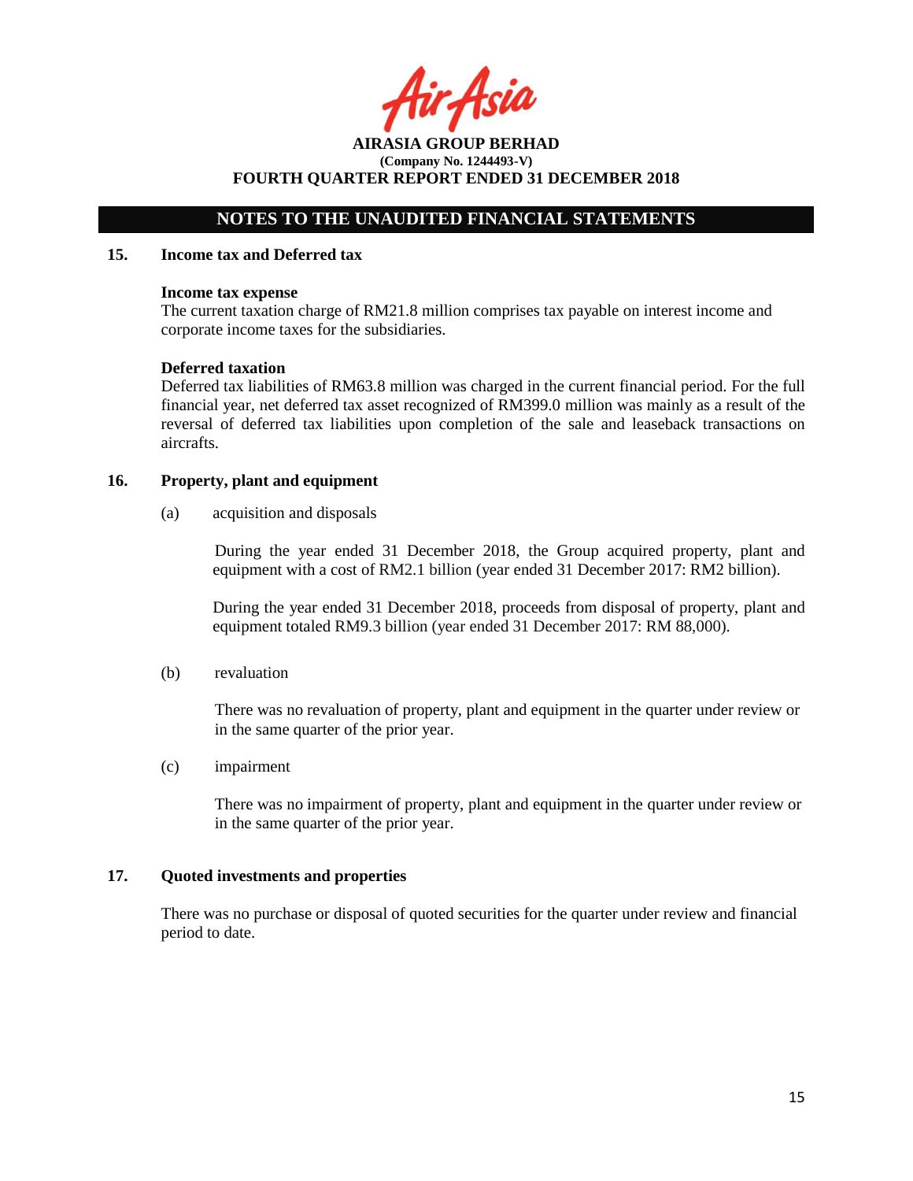ir Asid

**AIRASIA GROUP BERHAD (Company No. 1244493-V) FOURTH QUARTER REPORT ENDED 31 DECEMBER 2018**

### **15. Income tax and Deferred tax**

#### **Income tax expense**

The current taxation charge of RM21.8 million comprises tax payable on interest income and corporate income taxes for the subsidiaries.

#### **Deferred taxation**

Deferred tax liabilities of RM63.8 million was charged in the current financial period. For the full financial year, net deferred tax asset recognized of RM399.0 million was mainly as a result of the reversal of deferred tax liabilities upon completion of the sale and leaseback transactions on aircrafts.

### **16. Property, plant and equipment**

(a) acquisition and disposals

During the year ended 31 December 2018, the Group acquired property, plant and equipment with a cost of RM2.1 billion (year ended 31 December 2017: RM2 billion).

During the year ended 31 December 2018, proceeds from disposal of property, plant and equipment totaled RM9.3 billion (year ended 31 December 2017: RM 88,000).

(b) revaluation

There was no revaluation of property, plant and equipment in the quarter under review or in the same quarter of the prior year.

(c) impairment

There was no impairment of property, plant and equipment in the quarter under review or in the same quarter of the prior year.

### **17. Quoted investments and properties**

There was no purchase or disposal of quoted securities for the quarter under review and financial period to date.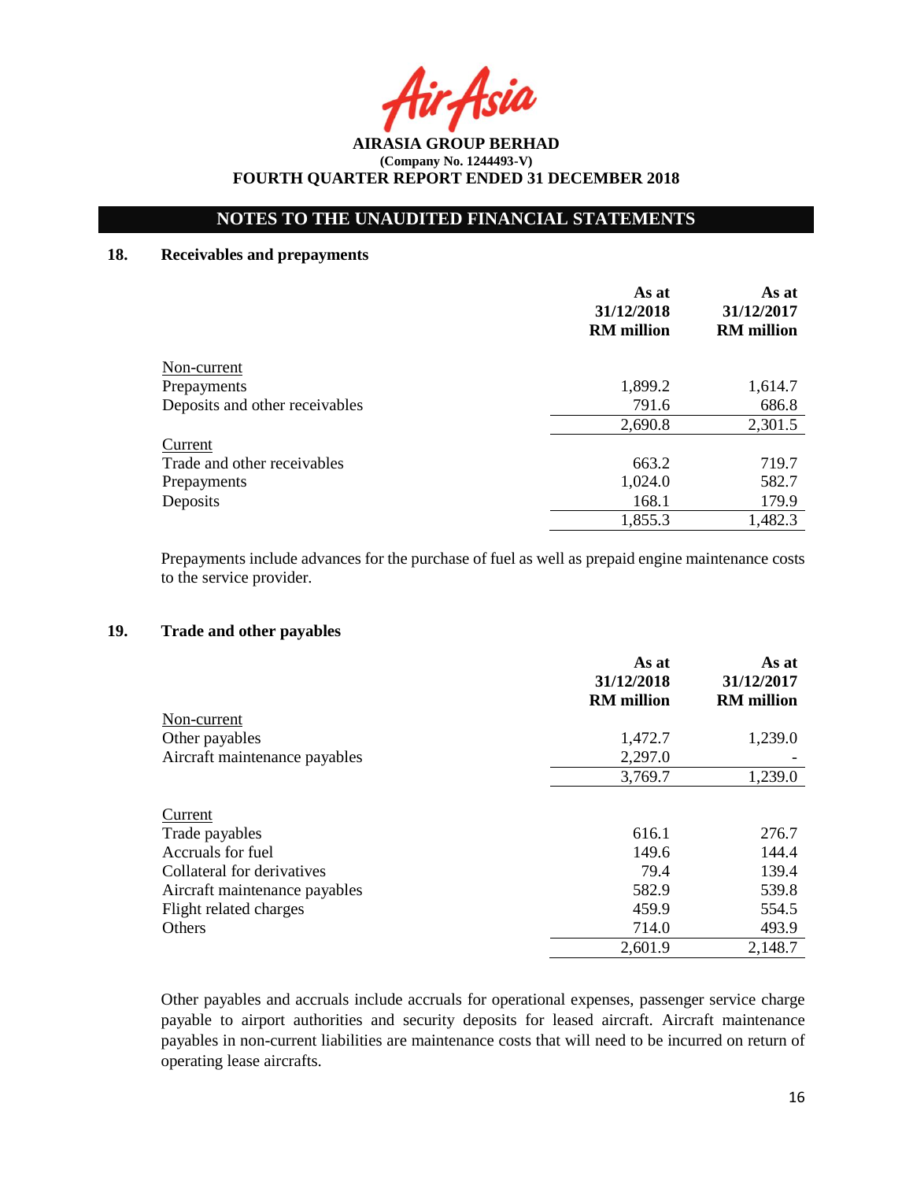Asia

## **NOTES TO THE UNAUDITED FINANCIAL STATEMENTS**

## **18. Receivables and prepayments**

|                                | As at<br>31/12/2018<br><b>RM</b> million | As at<br>31/12/2017<br><b>RM</b> million |
|--------------------------------|------------------------------------------|------------------------------------------|
| Non-current                    |                                          |                                          |
| Prepayments                    | 1,899.2                                  | 1,614.7                                  |
| Deposits and other receivables | 791.6                                    | 686.8                                    |
|                                | 2,690.8                                  | 2,301.5                                  |
| Current                        |                                          |                                          |
| Trade and other receivables    | 663.2                                    | 719.7                                    |
| Prepayments                    | 1,024.0                                  | 582.7                                    |
| Deposits                       | 168.1                                    | 179.9                                    |
|                                | 1,855.3                                  | 1,482.3                                  |

Prepayments include advances for the purchase of fuel as well as prepaid engine maintenance costs to the service provider.

### **19. Trade and other payables**

|                               | As at<br>31/12/2018<br><b>RM</b> million | As at<br>31/12/2017<br><b>RM</b> million |
|-------------------------------|------------------------------------------|------------------------------------------|
| Non-current                   |                                          |                                          |
| Other payables                | 1,472.7                                  | 1,239.0                                  |
| Aircraft maintenance payables | 2,297.0                                  |                                          |
|                               | 3,769.7                                  | 1,239.0                                  |
| Current                       |                                          |                                          |
| Trade payables                | 616.1                                    | 276.7                                    |
| Accruals for fuel             | 149.6                                    | 144.4                                    |
| Collateral for derivatives    | 79.4                                     | 139.4                                    |
| Aircraft maintenance payables | 582.9                                    | 539.8                                    |
| Flight related charges        | 459.9                                    | 554.5                                    |
| Others                        | 714.0                                    | 493.9                                    |
|                               | 2,601.9                                  | 2,148.7                                  |

Other payables and accruals include accruals for operational expenses, passenger service charge payable to airport authorities and security deposits for leased aircraft. Aircraft maintenance payables in non-current liabilities are maintenance costs that will need to be incurred on return of operating lease aircrafts.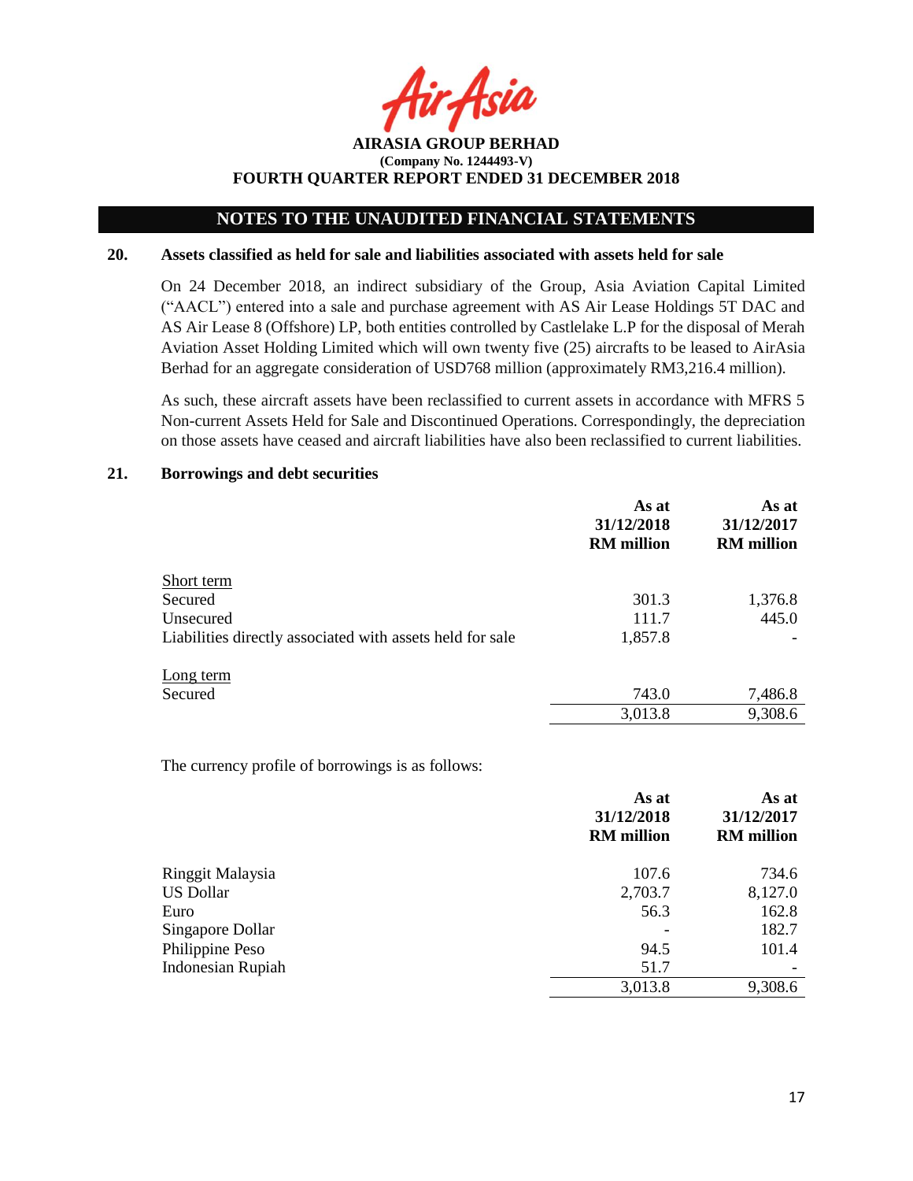**AIRASIA GROUP BERHAD (Company No. 1244493-V) FOURTH QUARTER REPORT ENDED 31 DECEMBER 2018**

#### **20. Assets classified as held for sale and liabilities associated with assets held for sale**

On 24 December 2018, an indirect subsidiary of the Group, Asia Aviation Capital Limited ("AACL") entered into a sale and purchase agreement with AS Air Lease Holdings 5T DAC and AS Air Lease 8 (Offshore) LP, both entities controlled by Castlelake L.P for the disposal of Merah Aviation Asset Holding Limited which will own twenty five (25) aircrafts to be leased to AirAsia Berhad for an aggregate consideration of USD768 million (approximately RM3,216.4 million).

As such, these aircraft assets have been reclassified to current assets in accordance with MFRS 5 Non-current Assets Held for Sale and Discontinued Operations. Correspondingly, the depreciation on those assets have ceased and aircraft liabilities have also been reclassified to current liabilities.

#### **21. Borrowings and debt securities**

|                                                           | As at<br>31/12/2018<br><b>RM</b> million | As at<br>31/12/2017<br><b>RM</b> million |
|-----------------------------------------------------------|------------------------------------------|------------------------------------------|
| Short term                                                |                                          |                                          |
| Secured                                                   | 301.3                                    | 1,376.8                                  |
| Unsecured                                                 | 111.7                                    | 445.0                                    |
| Liabilities directly associated with assets held for sale | 1,857.8                                  |                                          |
| Long term                                                 |                                          |                                          |
| Secured                                                   | 743.0                                    | 7,486.8                                  |
|                                                           | 3,013.8                                  | 9,308.6                                  |

The currency profile of borrowings is as follows:

|                          | As at<br>31/12/2018<br><b>RM</b> million | As at<br>31/12/2017<br><b>RM</b> million |
|--------------------------|------------------------------------------|------------------------------------------|
| Ringgit Malaysia         | 107.6                                    | 734.6                                    |
| <b>US Dollar</b>         | 2,703.7                                  | 8,127.0                                  |
| Euro                     | 56.3                                     | 162.8                                    |
| Singapore Dollar         |                                          | 182.7                                    |
| Philippine Peso          | 94.5                                     | 101.4                                    |
| <b>Indonesian Rupiah</b> | 51.7                                     |                                          |
|                          | 3,013.8                                  | 9,308.6                                  |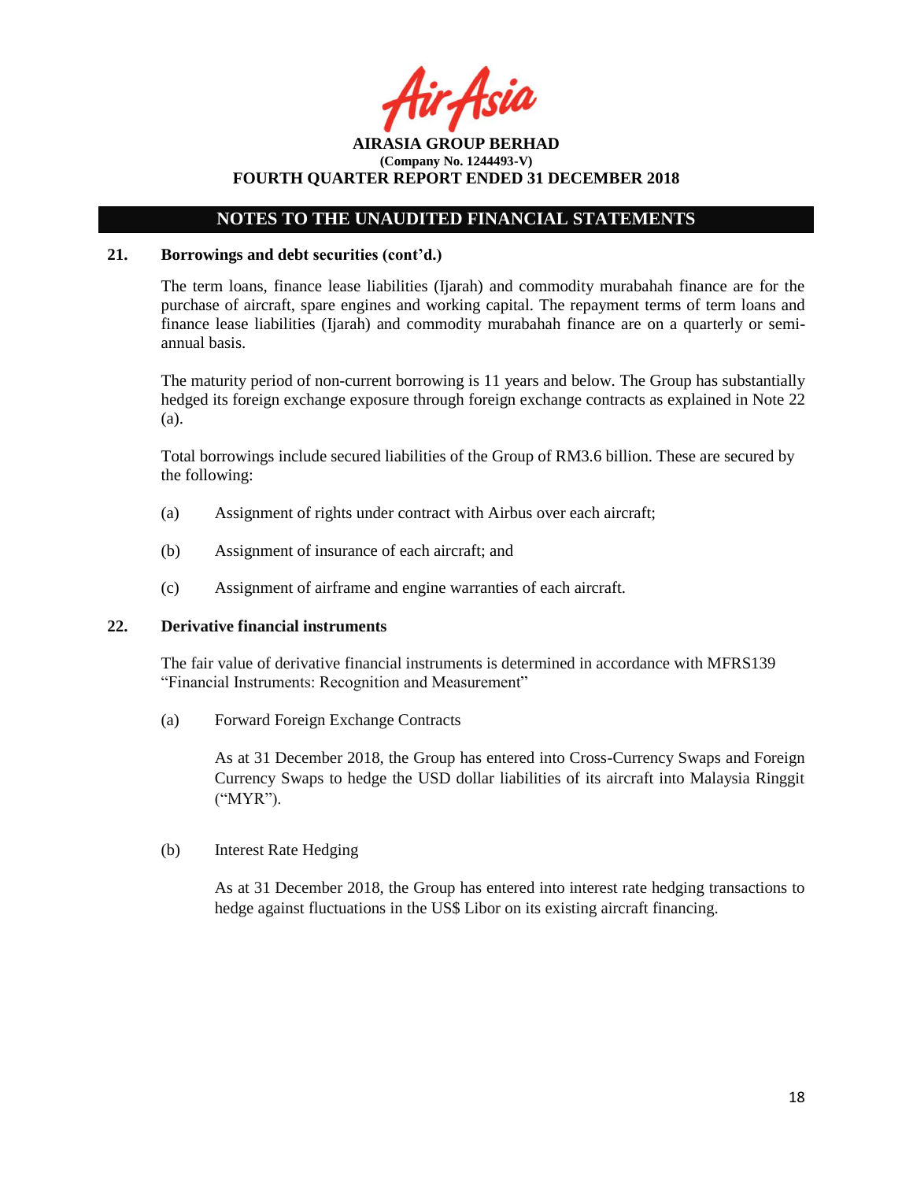ir Asia

## **NOTES TO THE UNAUDITED FINANCIAL STATEMENTS**

### **21. Borrowings and debt securities (cont'd.)**

The term loans, finance lease liabilities (Ijarah) and commodity murabahah finance are for the purchase of aircraft, spare engines and working capital. The repayment terms of term loans and finance lease liabilities (Ijarah) and commodity murabahah finance are on a quarterly or semiannual basis.

The maturity period of non-current borrowing is 11 years and below. The Group has substantially hedged its foreign exchange exposure through foreign exchange contracts as explained in Note 22 (a).

Total borrowings include secured liabilities of the Group of RM3.6 billion. These are secured by the following:

- (a) Assignment of rights under contract with Airbus over each aircraft;
- (b) Assignment of insurance of each aircraft; and
- (c) Assignment of airframe and engine warranties of each aircraft.

### **22. Derivative financial instruments**

The fair value of derivative financial instruments is determined in accordance with MFRS139 "Financial Instruments: Recognition and Measurement"

(a) Forward Foreign Exchange Contracts

As at 31 December 2018, the Group has entered into Cross-Currency Swaps and Foreign Currency Swaps to hedge the USD dollar liabilities of its aircraft into Malaysia Ringgit ("MYR").

(b) Interest Rate Hedging

As at 31 December 2018, the Group has entered into interest rate hedging transactions to hedge against fluctuations in the US\$ Libor on its existing aircraft financing.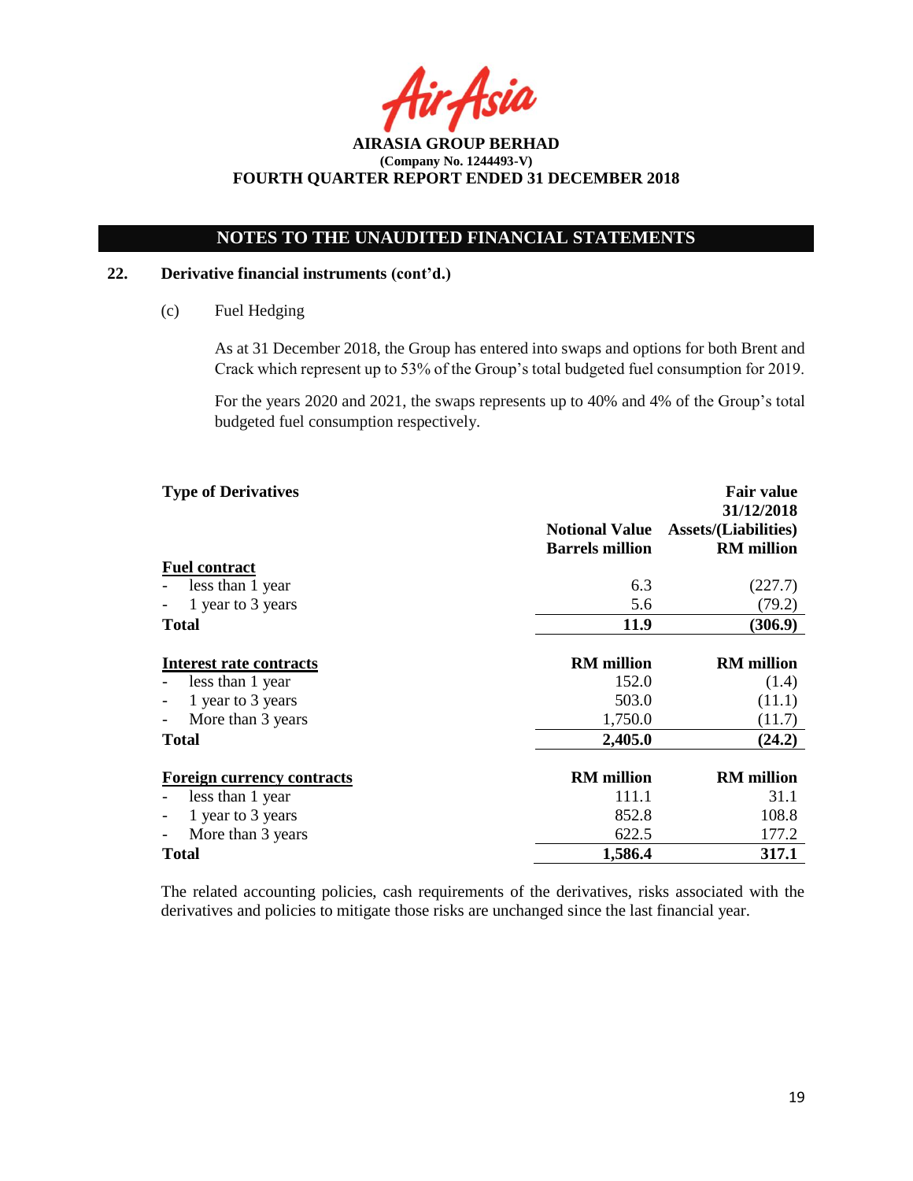Asia

## **NOTES TO THE UNAUDITED FINANCIAL STATEMENTS**

### **22. Derivative financial instruments (cont'd.)**

(c) Fuel Hedging

As at 31 December 2018, the Group has entered into swaps and options for both Brent and Crack which represent up to 53% of the Group's total budgeted fuel consumption for 2019.

For the years 2020 and 2021, the swaps represents up to 40% and 4% of the Group's total budgeted fuel consumption respectively.

| <b>Type of Derivatives</b>        |                                                 | <b>Fair value</b>                                              |
|-----------------------------------|-------------------------------------------------|----------------------------------------------------------------|
|                                   | <b>Notional Value</b><br><b>Barrels million</b> | 31/12/2018<br><b>Assets/(Liabilities)</b><br><b>RM</b> million |
| <b>Fuel contract</b>              |                                                 |                                                                |
| less than 1 year                  | 6.3                                             | (227.7)                                                        |
| 1 year to 3 years                 | 5.6                                             | (79.2)                                                         |
| <b>Total</b>                      | <b>11.9</b>                                     | (306.9)                                                        |
|                                   |                                                 |                                                                |
| <b>Interest rate contracts</b>    | <b>RM</b> million                               | <b>RM</b> million                                              |
| less than 1 year                  | 152.0                                           | (1.4)                                                          |
| 1 year to 3 years                 | 503.0                                           | (11.1)                                                         |
| More than 3 years                 | 1,750.0                                         | (11.7)                                                         |
| <b>Total</b>                      | 2,405.0                                         | (24.2)                                                         |
| <b>Foreign currency contracts</b> | <b>RM</b> million                               | <b>RM</b> million                                              |
| less than 1 year                  | 111.1                                           | 31.1                                                           |
| 1 year to 3 years                 | 852.8                                           | 108.8                                                          |
| More than 3 years                 | 622.5                                           | 177.2                                                          |
| <b>Total</b>                      | 1,586.4                                         | 317.1                                                          |

The related accounting policies, cash requirements of the derivatives, risks associated with the derivatives and policies to mitigate those risks are unchanged since the last financial year.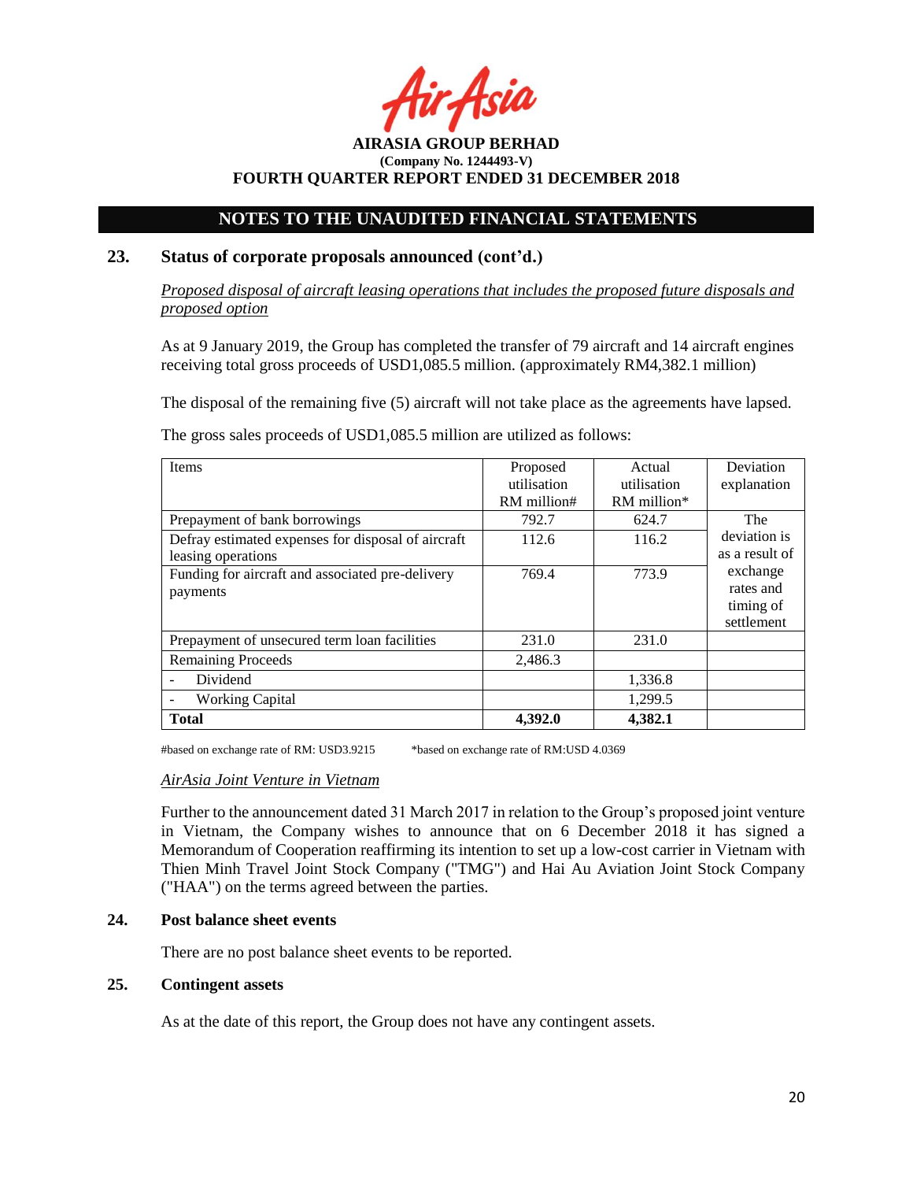Asil

## **NOTES TO THE UNAUDITED FINANCIAL STATEMENTS**

## **23. Status of corporate proposals announced (cont'd.)**

*Proposed disposal of aircraft leasing operations that includes the proposed future disposals and proposed option*

As at 9 January 2019, the Group has completed the transfer of 79 aircraft and 14 aircraft engines receiving total gross proceeds of USD1,085.5 million. (approximately RM4,382.1 million)

The disposal of the remaining five (5) aircraft will not take place as the agreements have lapsed.

The gross sales proceeds of USD1,085.5 million are utilized as follows:

| <b>Items</b>                                       | Proposed    | Actual        | Deviation      |
|----------------------------------------------------|-------------|---------------|----------------|
|                                                    | utilisation | utilisation   | explanation    |
|                                                    | RM million# | $RM$ million* |                |
| Prepayment of bank borrowings                      | 792.7       | 624.7         | The            |
| Defray estimated expenses for disposal of aircraft | 112.6       | 116.2         | deviation is   |
| leasing operations                                 |             |               | as a result of |
| Funding for aircraft and associated pre-delivery   | 769.4       | 773.9         | exchange       |
| payments                                           |             |               | rates and      |
|                                                    |             |               | timing of      |
|                                                    |             |               | settlement     |
| Prepayment of unsecured term loan facilities       | 231.0       | 231.0         |                |
| <b>Remaining Proceeds</b>                          | 2,486.3     |               |                |
| Dividend                                           |             | 1,336.8       |                |
| <b>Working Capital</b>                             |             | 1,299.5       |                |
| <b>Total</b>                                       | 4.392.0     | 4,382.1       |                |

#based on exchange rate of RM: USD3.9215 \*based on exchange rate of RM:USD 4.0369

### *AirAsia Joint Venture in Vietnam*

Further to the announcement dated 31 March 2017 in relation to the Group's proposed joint venture in Vietnam, the Company wishes to announce that on 6 December 2018 it has signed a Memorandum of Cooperation reaffirming its intention to set up a low-cost carrier in Vietnam with Thien Minh Travel Joint Stock Company ("TMG") and Hai Au Aviation Joint Stock Company ("HAA") on the terms agreed between the parties.

## **24. Post balance sheet events**

There are no post balance sheet events to be reported.

## **25. Contingent assets**

As at the date of this report, the Group does not have any contingent assets.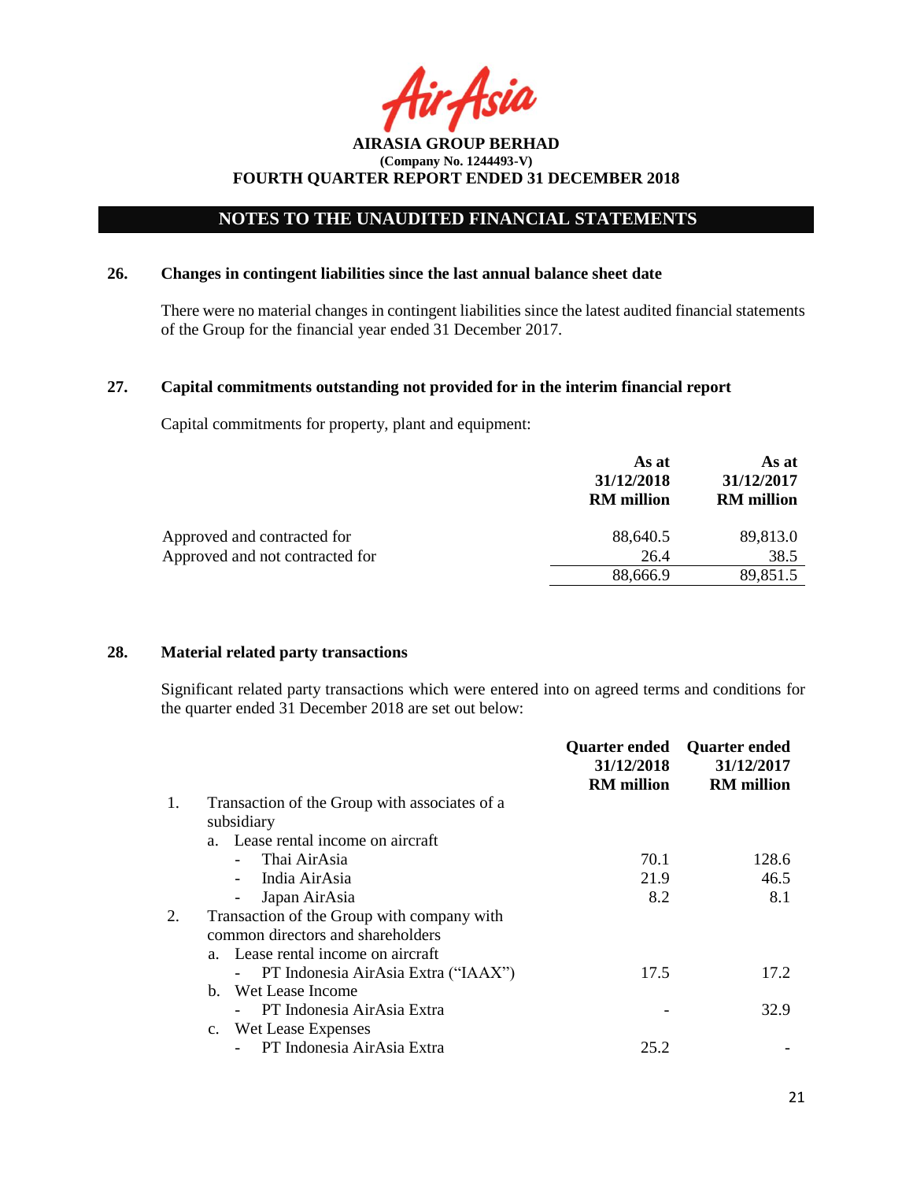Acia

## **NOTES TO THE UNAUDITED FINANCIAL STATEMENTS**

### **26. Changes in contingent liabilities since the last annual balance sheet date**

There were no material changes in contingent liabilities since the latest audited financial statements of the Group for the financial year ended 31 December 2017.

## **27. Capital commitments outstanding not provided for in the interim financial report**

Capital commitments for property, plant and equipment:

|                                 | As at<br>31/12/2018<br><b>RM</b> million | As at<br>31/12/2017<br><b>RM</b> million |
|---------------------------------|------------------------------------------|------------------------------------------|
| Approved and contracted for     | 88,640.5                                 | 89,813.0                                 |
| Approved and not contracted for | 26.4                                     | 38.5                                     |
|                                 | 88,666.9                                 | 89,851.5                                 |
|                                 |                                          |                                          |

### **28. Material related party transactions**

Significant related party transactions which were entered into on agreed terms and conditions for the quarter ended 31 December 2018 are set out below:

|    |                                               | <b>Quarter ended</b><br>31/12/2018<br><b>RM</b> million | <b>Quarter ended</b><br>31/12/2017<br><b>RM</b> million |
|----|-----------------------------------------------|---------------------------------------------------------|---------------------------------------------------------|
| 1. | Transaction of the Group with associates of a |                                                         |                                                         |
|    | subsidiary                                    |                                                         |                                                         |
|    | a. Lease rental income on aircraft            |                                                         |                                                         |
|    | Thai AirAsia                                  | 70.1                                                    | 128.6                                                   |
|    | India AirAsia                                 | 21.9                                                    | 46.5                                                    |
|    | Japan AirAsia                                 | 8.2                                                     | 8.1                                                     |
|    | Transaction of the Group with company with    |                                                         |                                                         |
|    | common directors and shareholders             |                                                         |                                                         |
|    | a. Lease rental income on aircraft            |                                                         |                                                         |
|    | PT Indonesia AirAsia Extra ("IAAX")           | 17.5                                                    | 17.2                                                    |
|    | b. Wet Lease Income                           |                                                         |                                                         |
|    | PT Indonesia AirAsia Extra                    |                                                         | 32.9                                                    |
|    | c. Wet Lease Expenses                         |                                                         |                                                         |
|    | PT Indonesia AirAsia Extra                    | 25.2                                                    |                                                         |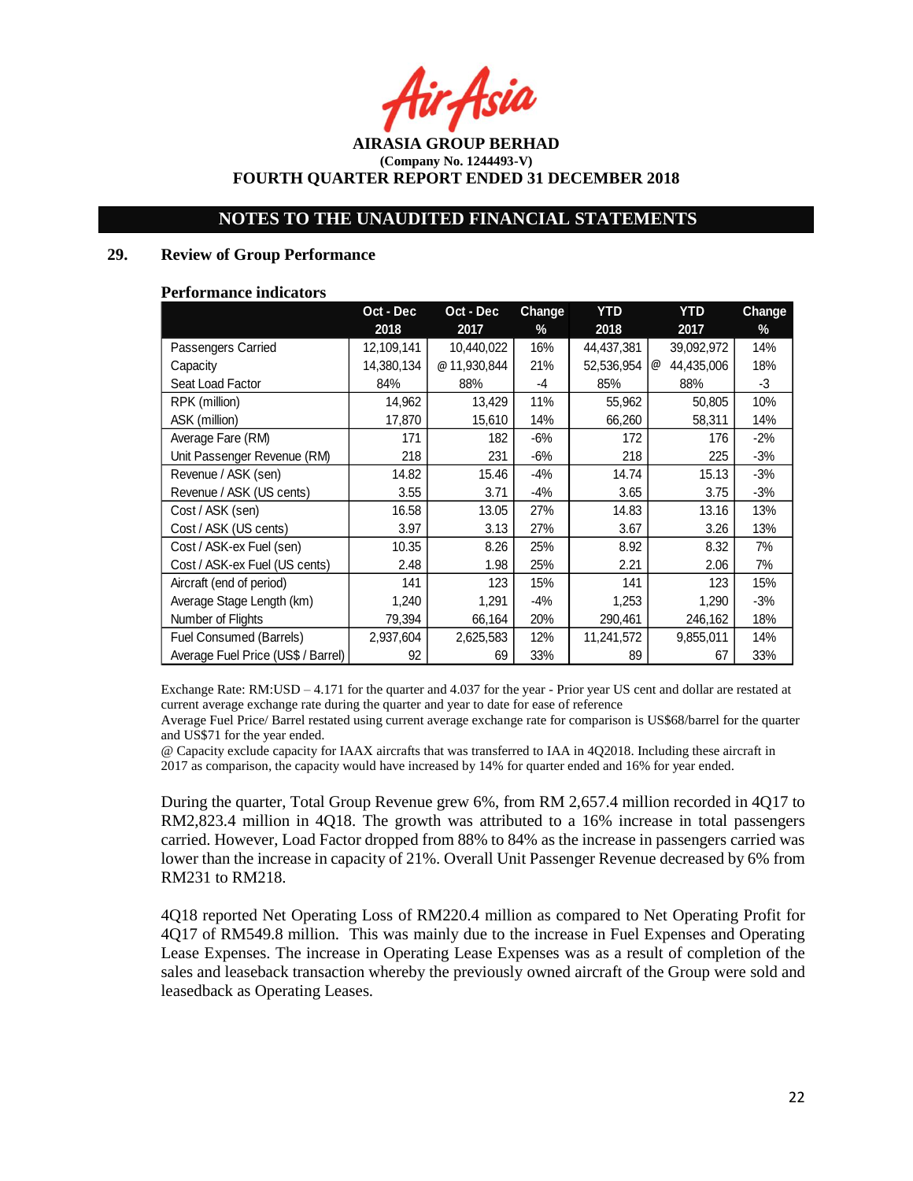r Asia

## **NOTES TO THE UNAUDITED FINANCIAL STATEMENTS**

### **29. Review of Group Performance**

#### **Performance indicators**

| Oct - Dec<br>Oct - Dec             |            | Change      | <b>YTD</b> | <b>YTD</b> | Change          |        |
|------------------------------------|------------|-------------|------------|------------|-----------------|--------|
|                                    | 2018       | 2017        | %          | 2018       | 2017            | $\%$   |
| Passengers Carried                 | 12,109,141 | 10,440,022  | 16%        | 44,437,381 | 39,092,972      | 14%    |
| Capacity                           | 14,380,134 | @11,930,844 | 21%        | 52,536,954 | @<br>44,435,006 | 18%    |
| Seat Load Factor                   | 84%        | 88%         | -4         | 85%        | 88%             | -3     |
| RPK (million)                      | 14,962     | 13,429      | 11%        | 55,962     | 50,805          | 10%    |
| ASK (million)                      | 17,870     | 15,610      | 14%        | 66,260     | 58,311          | 14%    |
| Average Fare (RM)                  | 171        | 182         | -6%        | 172        | 176             | $-2\%$ |
| Unit Passenger Revenue (RM)        | 218        | 231         | -6%        | 218        | 225             | $-3%$  |
| Revenue / ASK (sen)                | 14.82      | 15.46       | -4%        | 14.74      | 15.13           | $-3%$  |
| Revenue / ASK (US cents)           | 3.55       | 3.71        | -4%        | 3.65       | 3.75            | $-3%$  |
| Cost / ASK (sen)                   | 16.58      | 13.05       | 27%        | 14.83      | 13.16           | 13%    |
| Cost / ASK (US cents)              | 3.97       | 3.13        | 27%        | 3.67       | 3.26            | 13%    |
| Cost / ASK-ex Fuel (sen)           | 10.35      | 8.26        | 25%        | 8.92       | 8.32            | 7%     |
| Cost / ASK-ex Fuel (US cents)      | 2.48       | 1.98        | 25%        | 2.21       | 2.06            | 7%     |
| Aircraft (end of period)           | 141        | 123         | 15%        | 141        | 123             | 15%    |
| Average Stage Length (km)          | 1,240      | 1,291       | -4%        | 1,253      | 1,290           | $-3%$  |
| Number of Flights                  | 79,394     | 66,164      | 20%        | 290,461    | 246,162         | 18%    |
| Fuel Consumed (Barrels)            | 2,937,604  | 2,625,583   | 12%        | 11,241,572 | 9,855,011       | 14%    |
| Average Fuel Price (US\$ / Barrel) | 92         | 69          | 33%        | 89         | 67              | 33%    |

Exchange Rate: RM: USD – 4.171 for the quarter and 4.037 for the year - Prior year US cent and dollar are restated at current average exchange rate during the quarter and year to date for ease of reference

Average Fuel Price/ Barrel restated using current average exchange rate for comparison is US\$68/barrel for the quarter and US\$71 for the year ended.

@ Capacity exclude capacity for IAAX aircrafts that was transferred to IAA in 4Q2018. Including these aircraft in 2017 as comparison, the capacity would have increased by 14% for quarter ended and 16% for year ended.

During the quarter, Total Group Revenue grew 6%, from RM 2,657.4 million recorded in 4Q17 to RM2,823.4 million in 4Q18. The growth was attributed to a 16% increase in total passengers carried. However, Load Factor dropped from 88% to 84% as the increase in passengers carried was lower than the increase in capacity of 21%. Overall Unit Passenger Revenue decreased by 6% from RM231 to RM218.

4Q18 reported Net Operating Loss of RM220.4 million as compared to Net Operating Profit for 4Q17 of RM549.8 million. This was mainly due to the increase in Fuel Expenses and Operating Lease Expenses. The increase in Operating Lease Expenses was as a result of completion of the sales and leaseback transaction whereby the previously owned aircraft of the Group were sold and leasedback as Operating Leases.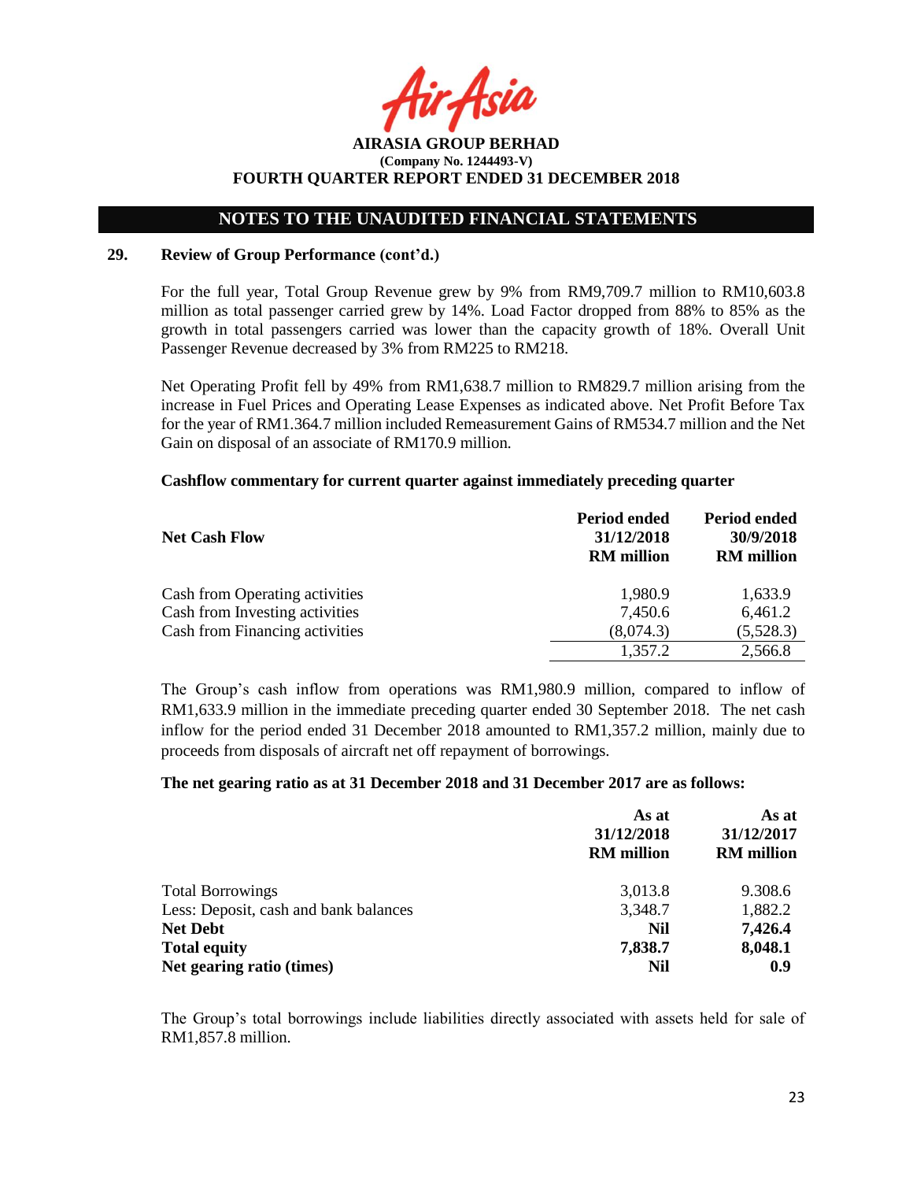## **NOTES TO THE UNAUDITED FINANCIAL STATEMENTS**

### **29. Review of Group Performance (cont'd.)**

For the full year, Total Group Revenue grew by 9% from RM9,709.7 million to RM10,603.8 million as total passenger carried grew by 14%. Load Factor dropped from 88% to 85% as the growth in total passengers carried was lower than the capacity growth of 18%. Overall Unit Passenger Revenue decreased by 3% from RM225 to RM218.

Net Operating Profit fell by 49% from RM1,638.7 million to RM829.7 million arising from the increase in Fuel Prices and Operating Lease Expenses as indicated above. Net Profit Before Tax for the year of RM1.364.7 million included Remeasurement Gains of RM534.7 million and the Net Gain on disposal of an associate of RM170.9 million.

### **Cashflow commentary for current quarter against immediately preceding quarter**

|                                | <b>Period ended</b> | <b>Period ended</b> |
|--------------------------------|---------------------|---------------------|
| <b>Net Cash Flow</b>           | 31/12/2018          | 30/9/2018           |
|                                | <b>RM</b> million   | <b>RM</b> million   |
| Cash from Operating activities | 1,980.9             | 1,633.9             |
| Cash from Investing activities | 7,450.6             | 6,461.2             |
| Cash from Financing activities | (8,074.3)           | (5,528.3)           |
|                                | 1,357.2             | 2,566.8             |

The Group's cash inflow from operations was RM1,980.9 million, compared to inflow of RM1,633.9 million in the immediate preceding quarter ended 30 September 2018. The net cash inflow for the period ended 31 December 2018 amounted to RM1,357.2 million, mainly due to proceeds from disposals of aircraft net off repayment of borrowings.

### **The net gearing ratio as at 31 December 2018 and 31 December 2017 are as follows:**

|                                       | As at<br>31/12/2018<br><b>RM</b> million | As at<br>31/12/2017<br><b>RM</b> million |
|---------------------------------------|------------------------------------------|------------------------------------------|
| <b>Total Borrowings</b>               | 3,013.8                                  | 9.308.6                                  |
| Less: Deposit, cash and bank balances | 3,348.7                                  | 1,882.2                                  |
| <b>Net Debt</b>                       | Nil                                      | 7,426.4                                  |
| <b>Total equity</b>                   | 7,838.7                                  | 8,048.1                                  |
| Net gearing ratio (times)             | Nil                                      | 0.9                                      |

The Group's total borrowings include liabilities directly associated with assets held for sale of RM1,857.8 million.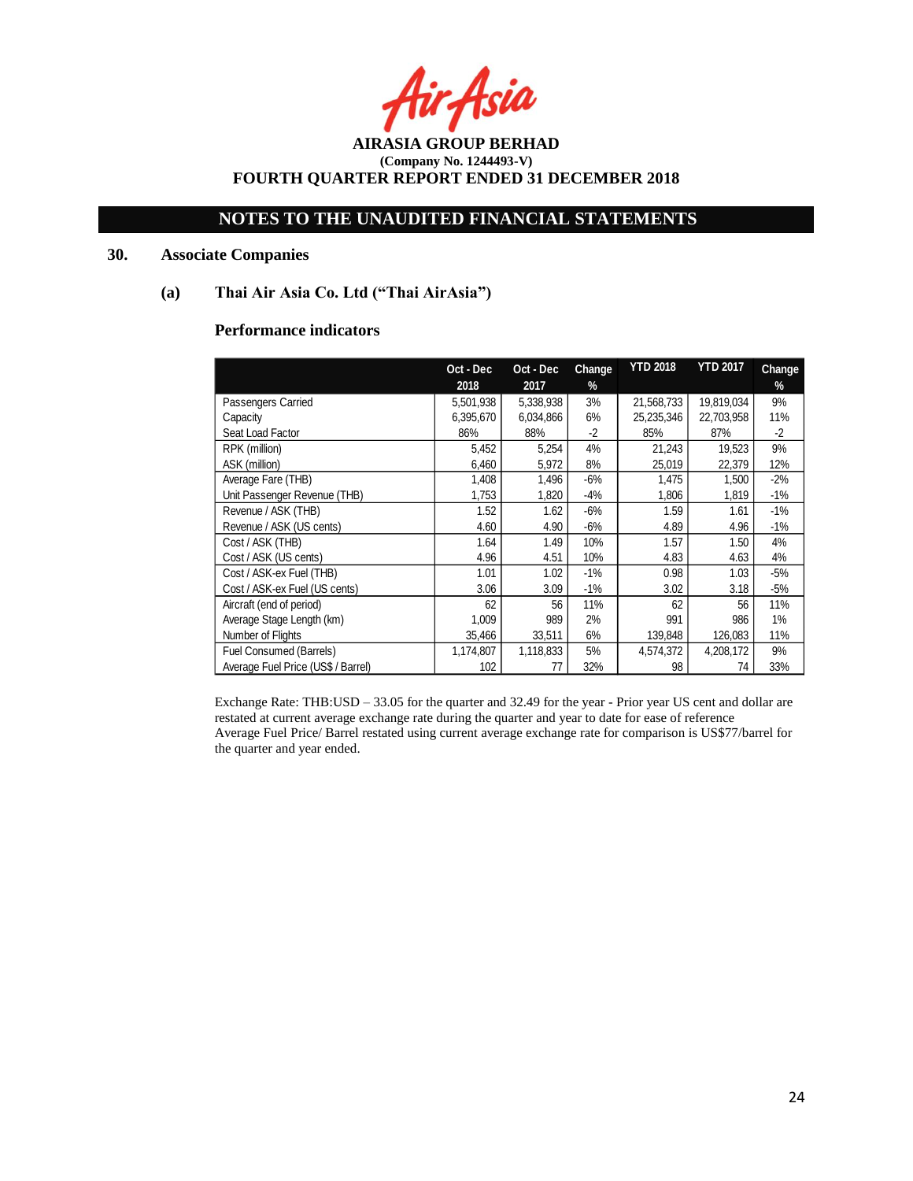r Asia

## **NOTES TO THE UNAUDITED FINANCIAL STATEMENTS**

## **30. Associate Companies**

### **(a) Thai Air Asia Co. Ltd ("Thai AirAsia")**

## **Performance indicators**

|                                    | Oct - Dec | Oct - Dec | Change | <b>YTD 2018</b> | <b>YTD 2017</b> | Change |
|------------------------------------|-----------|-----------|--------|-----------------|-----------------|--------|
|                                    | 2018      | 2017      | %      |                 |                 | %      |
| Passengers Carried                 | 5,501,938 | 5,338,938 | 3%     | 21,568,733      | 19,819,034      | 9%     |
| Capacity                           | 6,395,670 | 6,034,866 | 6%     | 25,235,346      | 22,703,958      | 11%    |
| Seat Load Factor                   | 86%       | 88%       | $-2$   | 85%             | 87%             | $-2$   |
| RPK (million)                      | 5,452     | 5,254     | 4%     | 21,243          | 19,523          | 9%     |
| ASK (million)                      | 6,460     | 5,972     | 8%     | 25,019          | 22,379          | 12%    |
| Average Fare (THB)                 | 1,408     | 1,496     | $-6%$  | 1,475           | 1,500           | $-2%$  |
| Unit Passenger Revenue (THB)       | 1,753     | 1,820     | -4%    | 1,806           | 1,819           | $-1%$  |
| Revenue / ASK (THB)                | 1.52      | 1.62      | $-6%$  | 1.59            | 1.61            | $-1%$  |
| Revenue / ASK (US cents)           | 4.60      | 4.90      | $-6%$  | 4.89            | 4.96            | $-1%$  |
| Cost / ASK (THB)                   | 1.64      | 1.49      | 10%    | 1.57            | 1.50            | 4%     |
| Cost / ASK (US cents)              | 4.96      | 4.51      | 10%    | 4.83            | 4.63            | 4%     |
| Cost / ASK-ex Fuel (THB)           | 1.01      | 1.02      | $-1\%$ | 0.98            | 1.03            | $-5%$  |
| Cost / ASK-ex Fuel (US cents)      | 3.06      | 3.09      | $-1\%$ | 3.02            | 3.18            | $-5%$  |
| Aircraft (end of period)           | 62        | 56        | 11%    | 62              | 56              | 11%    |
| Average Stage Length (km)          | 1,009     | 989       | 2%     | 991             | 986             | $1\%$  |
| Number of Flights                  | 35,466    | 33,511    | 6%     | 139,848         | 126,083         | 11%    |
| Fuel Consumed (Barrels)            | 1,174,807 | 1,118,833 | 5%     | 4,574,372       | 4,208,172       | 9%     |
| Average Fuel Price (US\$ / Barrel) | 102       | 77        | 32%    | 98              | 74              | 33%    |

Exchange Rate: THB:USD – 33.05 for the quarter and 32.49 for the year - Prior year US cent and dollar are restated at current average exchange rate during the quarter and year to date for ease of reference Average Fuel Price/ Barrel restated using current average exchange rate for comparison is US\$77/barrel for the quarter and year ended.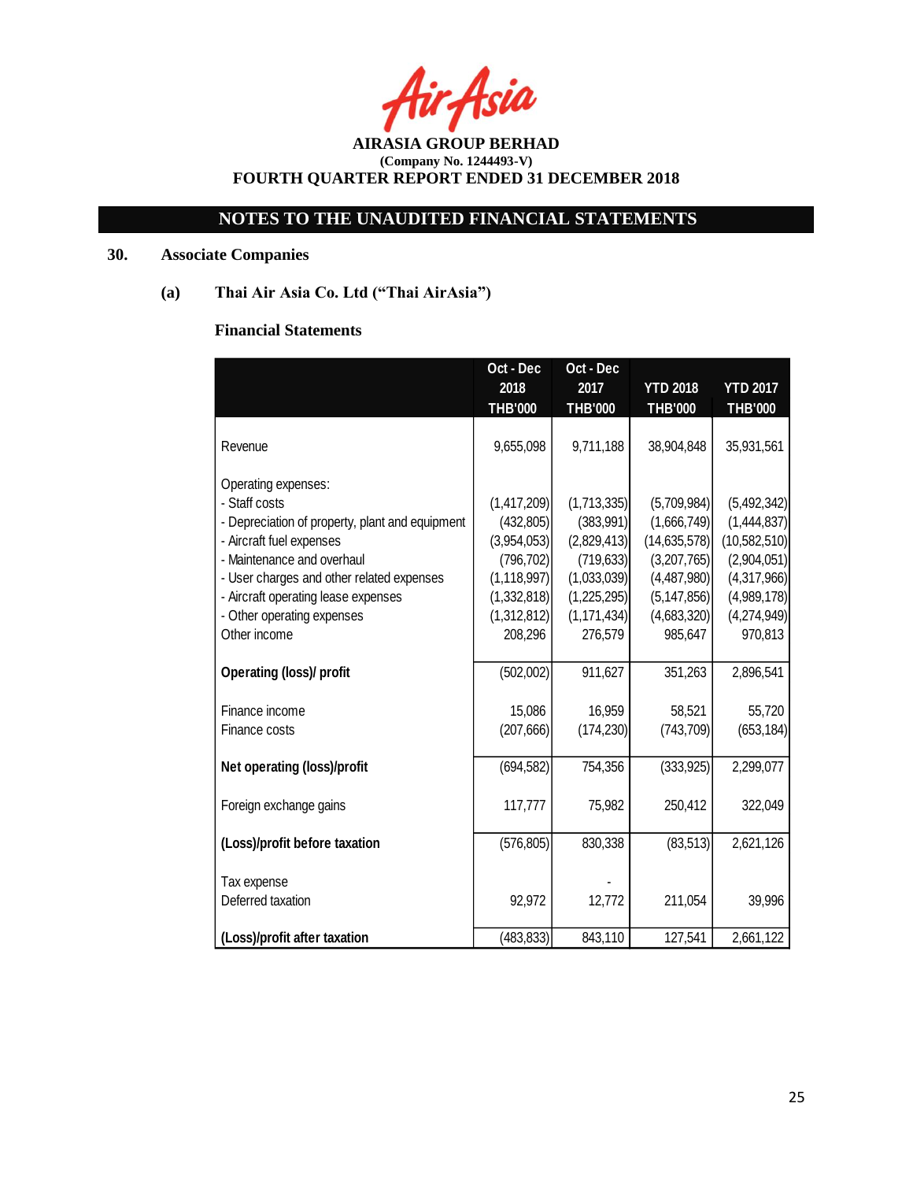r Asia

# **NOTES TO THE UNAUDITED FINANCIAL STATEMENTS**

## **30. Associate Companies**

**(a) Thai Air Asia Co. Ltd ("Thai AirAsia")**

## **Financial Statements**

|                                                 | Oct - Dec      | Oct - Dec      |                 |                 |
|-------------------------------------------------|----------------|----------------|-----------------|-----------------|
|                                                 | 2018           | 2017           | <b>YTD 2018</b> | <b>YTD 2017</b> |
|                                                 | <b>THB'000</b> | <b>THB'000</b> | <b>THB'000</b>  | <b>THB'000</b>  |
|                                                 |                |                |                 |                 |
| Revenue                                         | 9,655,098      | 9,711,188      | 38,904,848      | 35,931,561      |
|                                                 |                |                |                 |                 |
| Operating expenses:                             |                |                |                 |                 |
| - Staff costs                                   | (1,417,209)    | (1,713,335)    | (5,709,984)     | (5,492,342)     |
| - Depreciation of property, plant and equipment | (432, 805)     | (383, 991)     | (1,666,749)     | (1,444,837)     |
| - Aircraft fuel expenses                        | (3,954,053)    | (2,829,413)    | (14, 635, 578)  | (10, 582, 510)  |
| - Maintenance and overhaul                      | (796, 702)     | (719, 633)     | (3,207,765)     | (2,904,051)     |
| - User charges and other related expenses       | (1, 118, 997)  | (1,033,039)    | (4,487,980)     | (4,317,966)     |
| - Aircraft operating lease expenses             | (1,332,818)    | (1,225,295)    | (5, 147, 856)   | (4,989,178)     |
| - Other operating expenses                      | (1,312,812)    | (1, 171, 434)  | (4,683,320)     | (4,274,949)     |
| Other income                                    | 208,296        | 276,579        | 985,647         | 970,813         |
|                                                 |                |                |                 |                 |
| <b>Operating (loss)/ profit</b>                 | (502,002)      | 911,627        | 351,263         | 2,896,541       |
|                                                 |                |                |                 |                 |
| Finance income                                  | 15,086         | 16,959         | 58,521          | 55,720          |
| Finance costs                                   | (207, 666)     | (174, 230)     | (743, 709)      | (653, 184)      |
|                                                 |                |                |                 |                 |
| Net operating (loss)/profit                     | (694, 582)     | 754,356        | (333, 925)      | 2,299,077       |
|                                                 |                |                |                 |                 |
| Foreign exchange gains                          | 117,777        | 75,982         | 250,412         | 322,049         |
| (Loss)/profit before taxation                   | (576, 805)     | 830,338        | (83, 513)       | 2,621,126       |
|                                                 |                |                |                 |                 |
| Tax expense                                     |                |                |                 |                 |
| Deferred taxation                               | 92,972         | 12,772         | 211,054         | 39,996          |
|                                                 |                |                |                 |                 |
| (Loss)/profit after taxation                    | (483, 833)     | 843,110        | 127,541         | 2,661,122       |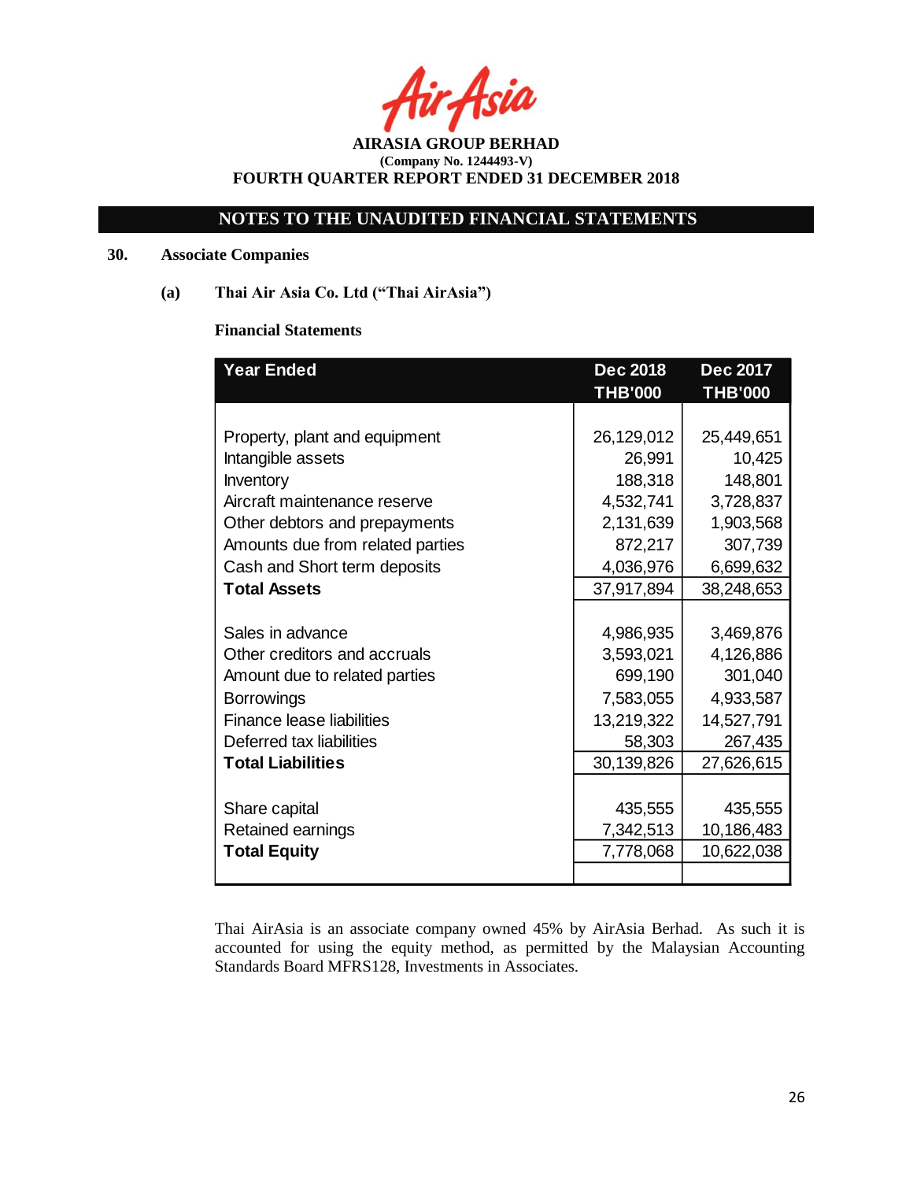Asia

## **NOTES TO THE UNAUDITED FINANCIAL STATEMENTS**

## **30. Associate Companies**

**(a) Thai Air Asia Co. Ltd ("Thai AirAsia")**

## **Financial Statements**

| <b>Year Ended</b>                | <b>Dec 2018</b><br><b>THB'000</b> | <b>Dec 2017</b><br><b>THB'000</b> |
|----------------------------------|-----------------------------------|-----------------------------------|
|                                  |                                   |                                   |
| Property, plant and equipment    | 26,129,012                        | 25,449,651                        |
| Intangible assets                | 26,991                            | 10,425                            |
| Inventory                        | 188,318                           | 148,801                           |
| Aircraft maintenance reserve     | 4,532,741                         | 3,728,837                         |
| Other debtors and prepayments    | 2,131,639                         | 1,903,568                         |
| Amounts due from related parties | 872,217                           | 307,739                           |
| Cash and Short term deposits     | 4,036,976                         | 6,699,632                         |
| <b>Total Assets</b>              | 37,917,894                        | 38,248,653                        |
| Sales in advance                 | 4,986,935                         | 3,469,876                         |
| Other creditors and accruals     | 3,593,021                         | 4,126,886                         |
| Amount due to related parties    | 699,190                           | 301,040                           |
| <b>Borrowings</b>                | 7,583,055                         | 4,933,587                         |
| Finance lease liabilities        | 13,219,322                        | 14,527,791                        |
| Deferred tax liabilities         | 58,303                            | 267,435                           |
| <b>Total Liabilities</b>         | 30,139,826                        | 27,626,615                        |
| Share capital                    | 435,555                           | 435,555                           |
| Retained earnings                | 7,342,513                         | 10,186,483                        |
| <b>Total Equity</b>              | 7,778,068                         | 10,622,038                        |

Thai AirAsia is an associate company owned 45% by AirAsia Berhad. As such it is accounted for using the equity method, as permitted by the Malaysian Accounting Standards Board MFRS128, Investments in Associates.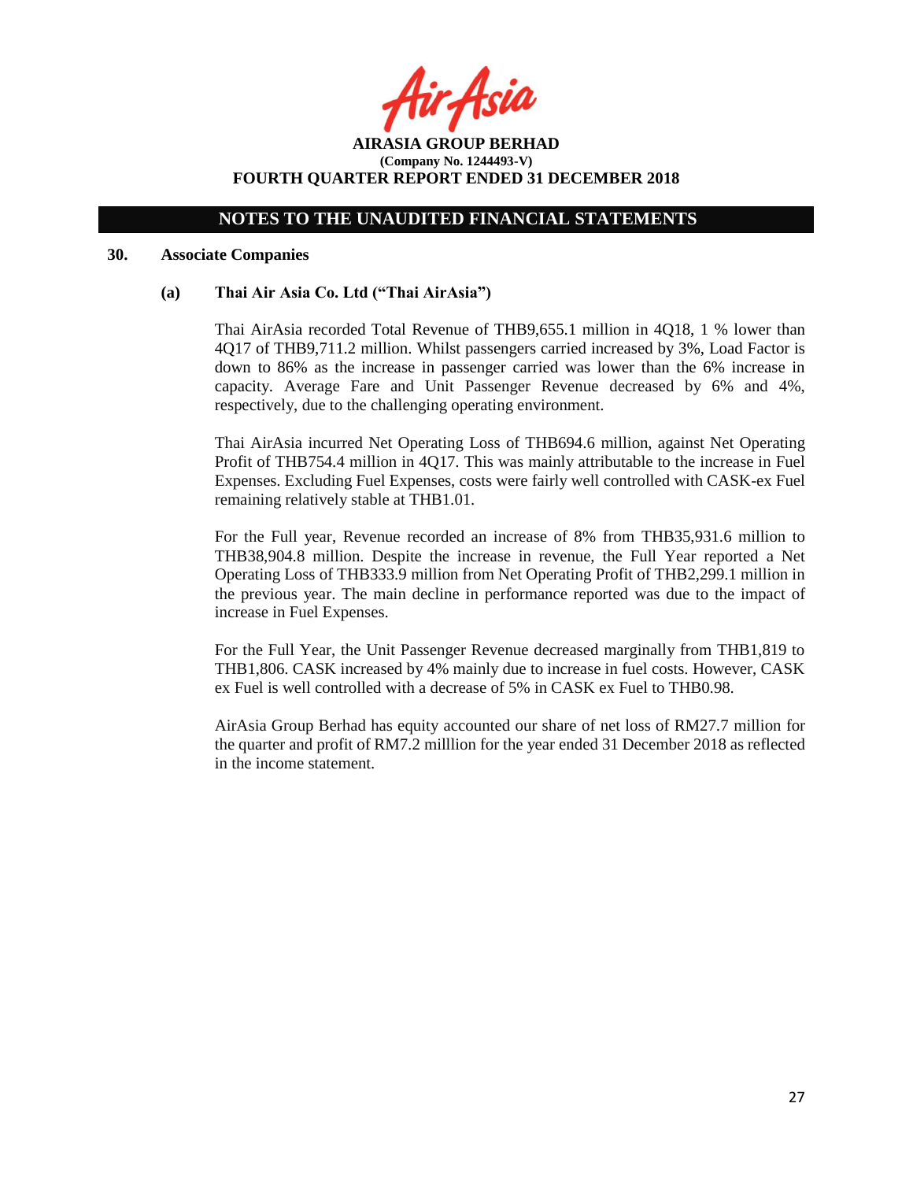r Asia

**AIRASIA GROUP BERHAD (Company No. 1244493-V) FOURTH QUARTER REPORT ENDED 31 DECEMBER 2018**

#### **30. Associate Companies**

#### **(a) Thai Air Asia Co. Ltd ("Thai AirAsia")**

Thai AirAsia recorded Total Revenue of THB9,655.1 million in 4Q18, 1 % lower than 4Q17 of THB9,711.2 million. Whilst passengers carried increased by 3%, Load Factor is down to 86% as the increase in passenger carried was lower than the 6% increase in capacity. Average Fare and Unit Passenger Revenue decreased by 6% and 4%, respectively, due to the challenging operating environment.

Thai AirAsia incurred Net Operating Loss of THB694.6 million, against Net Operating Profit of THB754.4 million in 4Q17. This was mainly attributable to the increase in Fuel Expenses. Excluding Fuel Expenses, costs were fairly well controlled with CASK-ex Fuel remaining relatively stable at THB1.01.

For the Full year, Revenue recorded an increase of 8% from THB35,931.6 million to THB38,904.8 million. Despite the increase in revenue, the Full Year reported a Net Operating Loss of THB333.9 million from Net Operating Profit of THB2,299.1 million in the previous year. The main decline in performance reported was due to the impact of increase in Fuel Expenses.

For the Full Year, the Unit Passenger Revenue decreased marginally from THB1,819 to THB1,806. CASK increased by 4% mainly due to increase in fuel costs. However, CASK ex Fuel is well controlled with a decrease of 5% in CASK ex Fuel to THB0.98.

AirAsia Group Berhad has equity accounted our share of net loss of RM27.7 million for the quarter and profit of RM7.2 milllion for the year ended 31 December 2018 as reflected in the income statement.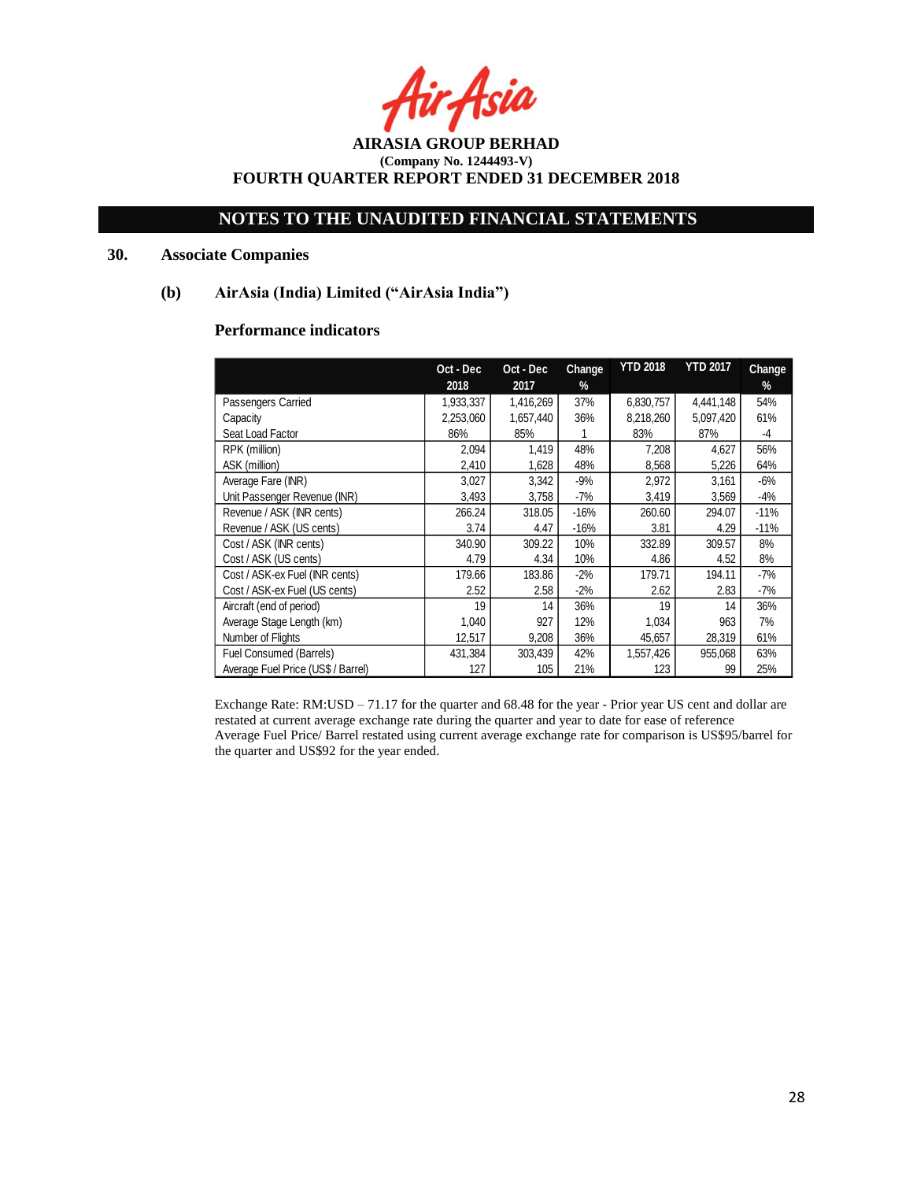Asia

## **NOTES TO THE UNAUDITED FINANCIAL STATEMENTS**

## **30. Associate Companies**

### **(b) AirAsia (India) Limited ("AirAsia India")**

## **Performance indicators**

|                                    | Oct - Dec | Oct - Dec | Change | <b>YTD 2018</b> | <b>YTD 2017</b> | Change |
|------------------------------------|-----------|-----------|--------|-----------------|-----------------|--------|
|                                    | 2018      | 2017      | %      |                 |                 | $\%$   |
| Passengers Carried                 | 1,933,337 | 1,416,269 | 37%    | 6,830,757       | 4,441,148       | 54%    |
| Capacity                           | 2,253,060 | 1,657,440 | 36%    | 8,218,260       | 5,097,420       | 61%    |
| Seat Load Factor                   | 86%       | 85%       |        | 83%             | 87%             | -4     |
| RPK (million)                      | 2,094     | 1,419     | 48%    | 7,208           | 4,627           | 56%    |
| ASK (million)                      | 2,410     | 1,628     | 48%    | 8,568           | 5,226           | 64%    |
| Average Fare (INR)                 | 3,027     | 3,342     | $-9%$  | 2,972           | 3,161           | $-6%$  |
| Unit Passenger Revenue (INR)       | 3,493     | 3,758     | $-7%$  | 3,419           | 3,569           | -4%    |
| Revenue / ASK (INR cents)          | 266.24    | 318.05    | -16%   | 260.60          | 294.07          | $-11%$ |
| Revenue / ASK (US cents)           | 3.74      | 4.47      | -16%   | 3.81            | 4.29            | $-11%$ |
| Cost / ASK (INR cents)             | 340.90    | 309.22    | 10%    | 332.89          | 309.57          | 8%     |
| Cost / ASK (US cents)              | 4.79      | 4.34      | 10%    | 4.86            | 4.52            | 8%     |
| Cost / ASK-ex Fuel (INR cents)     | 179.66    | 183.86    | $-2%$  | 179.71          | 194.11          | -7%    |
| Cost / ASK-ex Fuel (US cents)      | 2.52      | 2.58      | $-2%$  | 2.62            | 2.83            | -7%    |
| Aircraft (end of period)           | 19        | 14        | 36%    | 19              | 14              | 36%    |
| Average Stage Length (km)          | 1,040     | 927       | 12%    | 1,034           | 963             | 7%     |
| Number of Flights                  | 12,517    | 9,208     | 36%    | 45,657          | 28,319          | 61%    |
| Fuel Consumed (Barrels)            | 431,384   | 303,439   | 42%    | 1,557,426       | 955,068         | 63%    |
| Average Fuel Price (US\$ / Barrel) | 127       | 105       | 21%    | 123             | 99              | 25%    |

Exchange Rate: RM:USD – 71.17 for the quarter and 68.48 for the year - Prior year US cent and dollar are restated at current average exchange rate during the quarter and year to date for ease of reference Average Fuel Price/ Barrel restated using current average exchange rate for comparison is US\$95/barrel for the quarter and US\$92 for the year ended.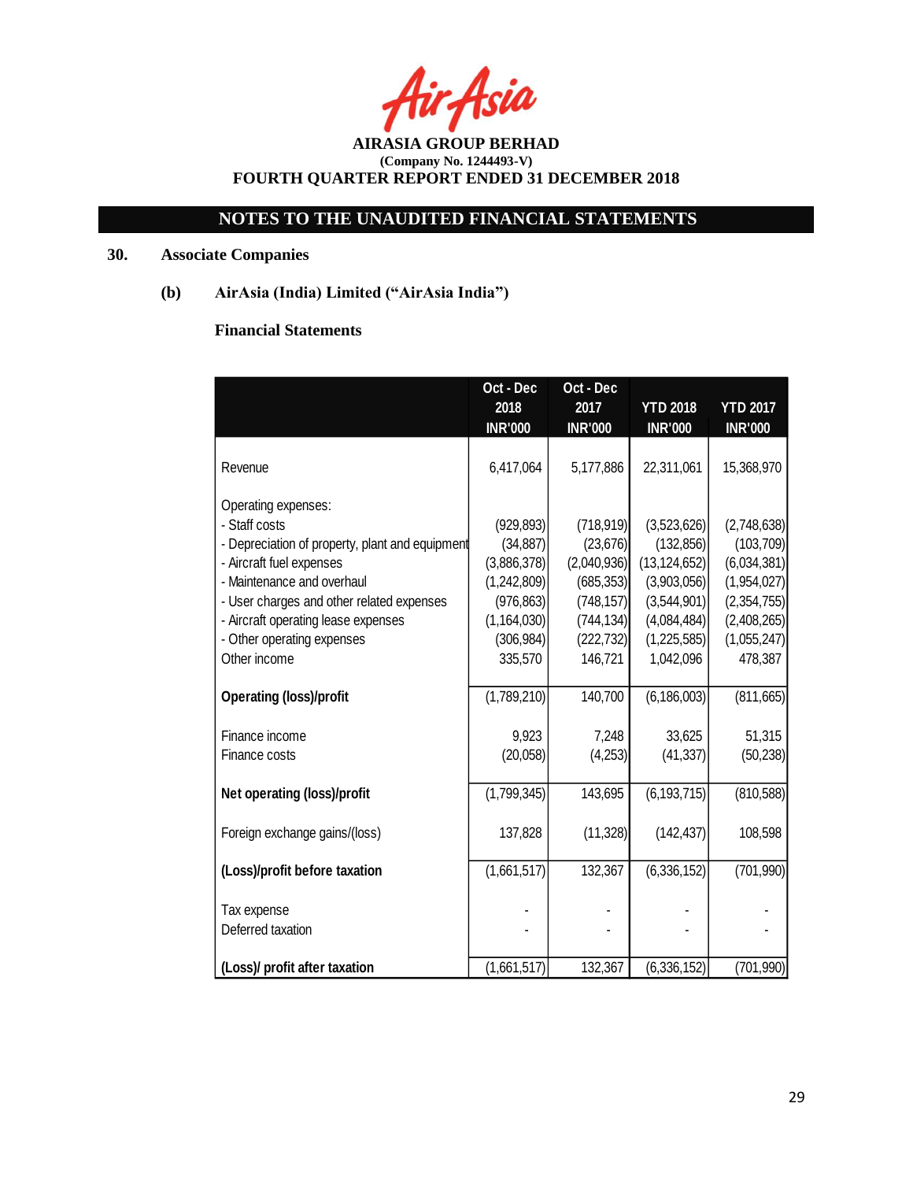rAsia

# **NOTES TO THE UNAUDITED FINANCIAL STATEMENTS**

## **30. Associate Companies**

**(b) AirAsia (India) Limited ("AirAsia India")**

## **Financial Statements**

| Oct - Dec   | Oct - Dec                                                                                                                                                                                                     |                                                                                                        |                                                                                                                                                                                                                                                                                                       |
|-------------|---------------------------------------------------------------------------------------------------------------------------------------------------------------------------------------------------------------|--------------------------------------------------------------------------------------------------------|-------------------------------------------------------------------------------------------------------------------------------------------------------------------------------------------------------------------------------------------------------------------------------------------------------|
| 2018        | 2017                                                                                                                                                                                                          | <b>YTD 2018</b>                                                                                        | <b>YTD 2017</b>                                                                                                                                                                                                                                                                                       |
|             |                                                                                                                                                                                                               |                                                                                                        | <b>INR'000</b>                                                                                                                                                                                                                                                                                        |
|             |                                                                                                                                                                                                               |                                                                                                        |                                                                                                                                                                                                                                                                                                       |
|             |                                                                                                                                                                                                               |                                                                                                        | 15,368,970                                                                                                                                                                                                                                                                                            |
|             |                                                                                                                                                                                                               |                                                                                                        |                                                                                                                                                                                                                                                                                                       |
|             |                                                                                                                                                                                                               |                                                                                                        |                                                                                                                                                                                                                                                                                                       |
|             |                                                                                                                                                                                                               |                                                                                                        | (2,748,638)                                                                                                                                                                                                                                                                                           |
|             |                                                                                                                                                                                                               |                                                                                                        | (103, 709)                                                                                                                                                                                                                                                                                            |
|             |                                                                                                                                                                                                               |                                                                                                        | (6,034,381)                                                                                                                                                                                                                                                                                           |
|             |                                                                                                                                                                                                               |                                                                                                        | (1,954,027)                                                                                                                                                                                                                                                                                           |
|             |                                                                                                                                                                                                               |                                                                                                        | (2,354,755)                                                                                                                                                                                                                                                                                           |
|             |                                                                                                                                                                                                               |                                                                                                        | (2,408,265)                                                                                                                                                                                                                                                                                           |
|             |                                                                                                                                                                                                               |                                                                                                        | (1,055,247)                                                                                                                                                                                                                                                                                           |
|             |                                                                                                                                                                                                               |                                                                                                        | 478,387                                                                                                                                                                                                                                                                                               |
|             |                                                                                                                                                                                                               |                                                                                                        | (811, 665)                                                                                                                                                                                                                                                                                            |
|             |                                                                                                                                                                                                               |                                                                                                        |                                                                                                                                                                                                                                                                                                       |
| 9,923       | 7,248                                                                                                                                                                                                         | 33,625                                                                                                 | 51,315                                                                                                                                                                                                                                                                                                |
| (20,058)    | (4,253)                                                                                                                                                                                                       | (41, 337)                                                                                              | (50, 238)                                                                                                                                                                                                                                                                                             |
|             |                                                                                                                                                                                                               |                                                                                                        |                                                                                                                                                                                                                                                                                                       |
| (1,799,345) | 143,695                                                                                                                                                                                                       | (6, 193, 715)                                                                                          | (810, 588)                                                                                                                                                                                                                                                                                            |
|             |                                                                                                                                                                                                               |                                                                                                        |                                                                                                                                                                                                                                                                                                       |
| 137,828     | (11,328)                                                                                                                                                                                                      | (142, 437)                                                                                             | 108,598                                                                                                                                                                                                                                                                                               |
|             |                                                                                                                                                                                                               |                                                                                                        |                                                                                                                                                                                                                                                                                                       |
|             |                                                                                                                                                                                                               |                                                                                                        | (701, 990)                                                                                                                                                                                                                                                                                            |
|             |                                                                                                                                                                                                               |                                                                                                        |                                                                                                                                                                                                                                                                                                       |
|             |                                                                                                                                                                                                               |                                                                                                        |                                                                                                                                                                                                                                                                                                       |
|             |                                                                                                                                                                                                               |                                                                                                        |                                                                                                                                                                                                                                                                                                       |
|             |                                                                                                                                                                                                               |                                                                                                        | (701, 990)                                                                                                                                                                                                                                                                                            |
|             | <b>INR'000</b><br>6,417,064<br>(929, 893)<br>(34, 887)<br>- Depreciation of property, plant and equipment<br>(3,886,378)<br>(1,242,809)<br>(976, 863)<br>335,570<br>(1,789,210)<br>(1,661,517)<br>(1,661,517) | <b>INR'000</b><br>5,177,886<br>(1, 164, 030)<br>(306, 984)<br>146,721<br>140,700<br>132,367<br>132,367 | <b>INR'000</b><br>22,311,061<br>(718, 919)<br>(3,523,626)<br>(132, 856)<br>(23, 676)<br>(13, 124, 652)<br>(2,040,936)<br>(3,903,056)<br>(685, 353)<br>(748, 157)<br>(3,544,901)<br>(4,084,484)<br>(744, 134)<br>(222, 732)<br>(1,225,585)<br>1,042,096<br>(6, 186, 003)<br>(6,336,152)<br>(6,336,152) |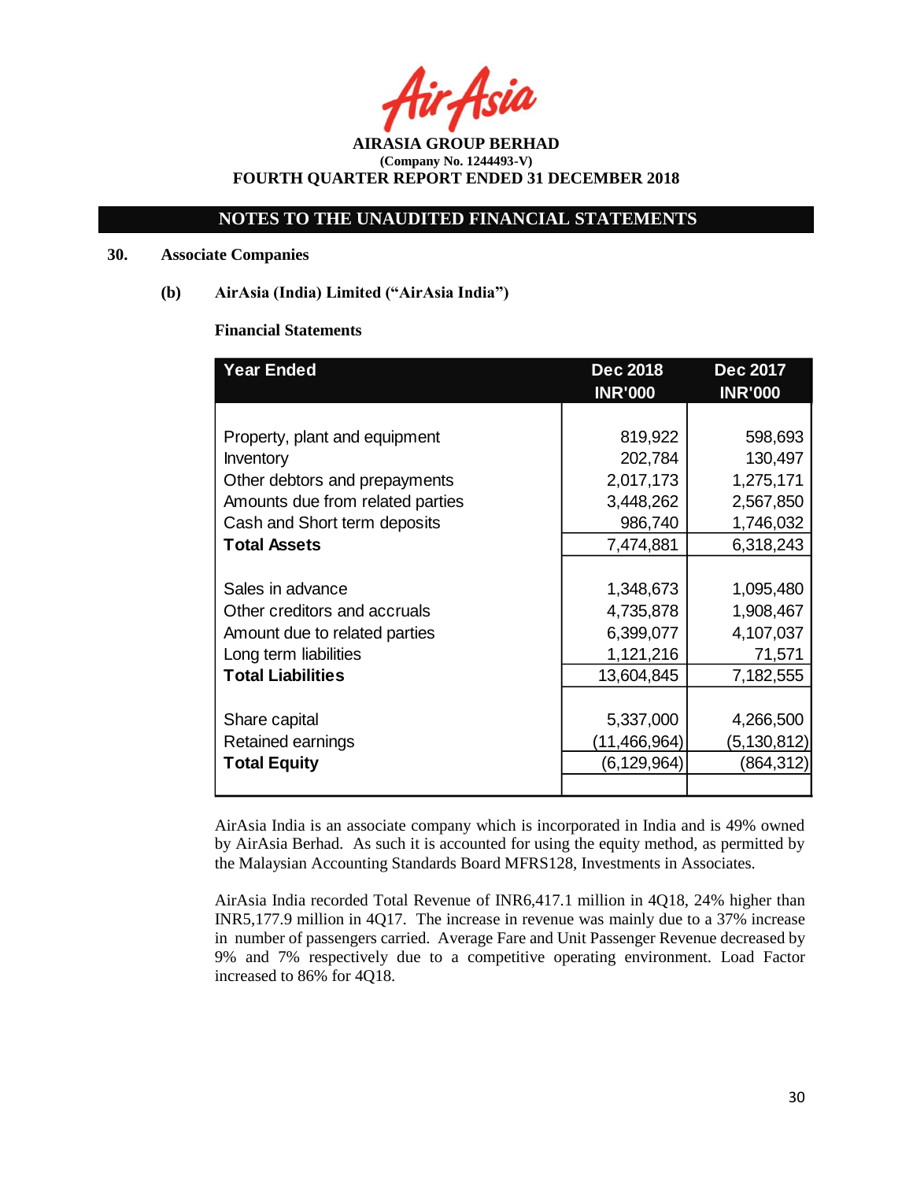Asia

## **NOTES TO THE UNAUDITED FINANCIAL STATEMENTS**

### **30. Associate Companies**

## **(b) AirAsia (India) Limited ("AirAsia India")**

### **Financial Statements**

| <b>Year Ended</b>                | <b>Dec 2018</b> | <b>Dec 2017</b> |  |
|----------------------------------|-----------------|-----------------|--|
|                                  | <b>INR'000</b>  | <b>INR'000</b>  |  |
|                                  |                 |                 |  |
| Property, plant and equipment    | 819,922         | 598,693         |  |
| Inventory                        | 202,784         | 130,497         |  |
| Other debtors and prepayments    | 2,017,173       | 1,275,171       |  |
| Amounts due from related parties | 3,448,262       | 2,567,850       |  |
| Cash and Short term deposits     | 986,740         | 1,746,032       |  |
| <b>Total Assets</b>              | 7,474,881       | 6,318,243       |  |
|                                  |                 |                 |  |
| Sales in advance                 | 1,348,673       | 1,095,480       |  |
| Other creditors and accruals     | 4,735,878       | 1,908,467       |  |
| Amount due to related parties    | 6,399,077       | 4,107,037       |  |
| Long term liabilities            | 1,121,216       | 71,571          |  |
| <b>Total Liabilities</b>         | 13,604,845      | 7,182,555       |  |
|                                  |                 |                 |  |
| Share capital                    | 5,337,000       | 4,266,500       |  |
| Retained earnings                | (11, 466, 964)  | (5,130,812)     |  |
| <b>Total Equity</b>              | (6,129,964)     | (864,312)       |  |
|                                  |                 |                 |  |

AirAsia India is an associate company which is incorporated in India and is 49% owned by AirAsia Berhad. As such it is accounted for using the equity method, as permitted by the Malaysian Accounting Standards Board MFRS128, Investments in Associates.

AirAsia India recorded Total Revenue of INR6,417.1 million in 4Q18, 24% higher than INR5,177.9 million in 4Q17. The increase in revenue was mainly due to a 37% increase in number of passengers carried. Average Fare and Unit Passenger Revenue decreased by 9% and 7% respectively due to a competitive operating environment. Load Factor increased to 86% for 4Q18.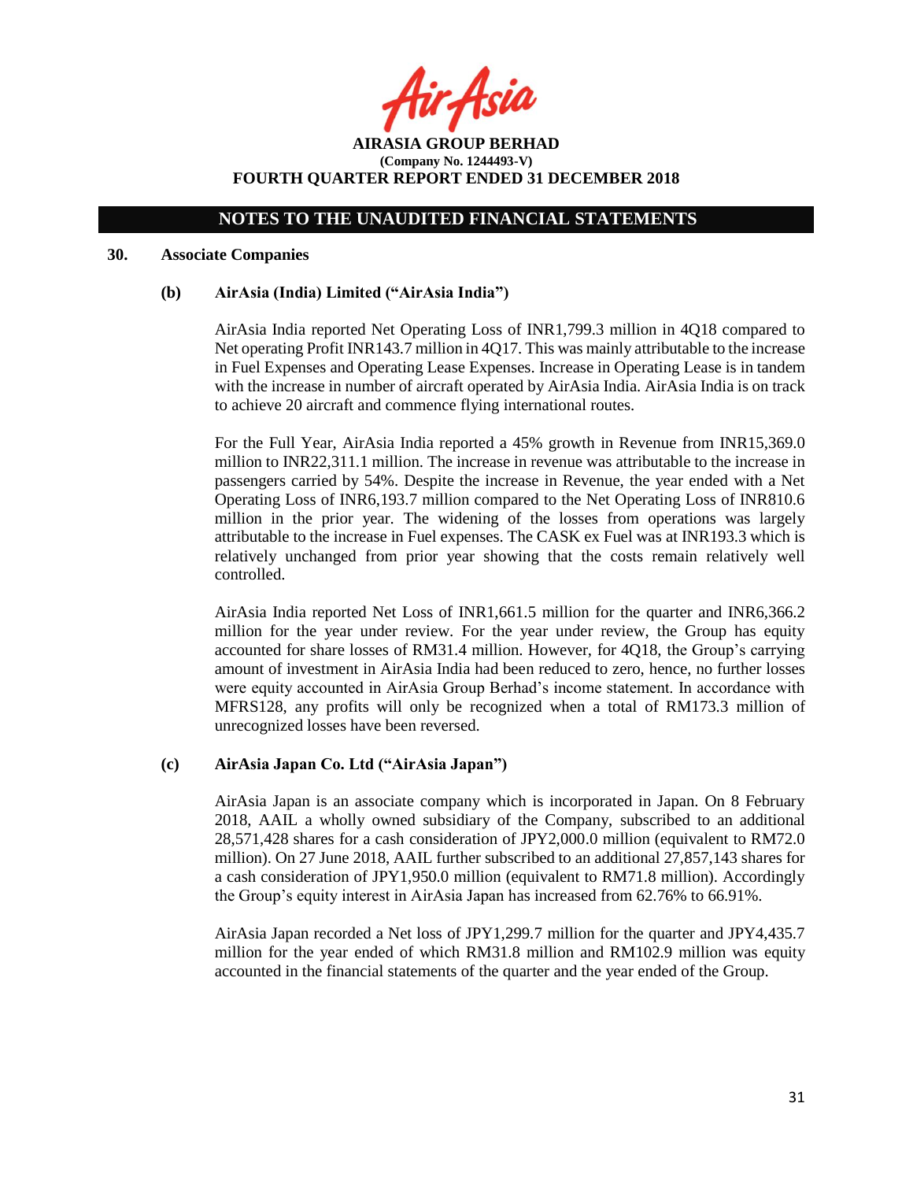ir Asia

**AIRASIA GROUP BERHAD (Company No. 1244493-V) FOURTH QUARTER REPORT ENDED 31 DECEMBER 2018**

#### **30. Associate Companies**

### **(b) AirAsia (India) Limited ("AirAsia India")**

AirAsia India reported Net Operating Loss of INR1,799.3 million in 4Q18 compared to Net operating Profit INR143.7 million in 4Q17. This was mainly attributable to the increase in Fuel Expenses and Operating Lease Expenses. Increase in Operating Lease is in tandem with the increase in number of aircraft operated by AirAsia India. AirAsia India is on track to achieve 20 aircraft and commence flying international routes.

For the Full Year, AirAsia India reported a 45% growth in Revenue from INR15,369.0 million to INR22,311.1 million. The increase in revenue was attributable to the increase in passengers carried by 54%. Despite the increase in Revenue, the year ended with a Net Operating Loss of INR6,193.7 million compared to the Net Operating Loss of INR810.6 million in the prior year. The widening of the losses from operations was largely attributable to the increase in Fuel expenses. The CASK ex Fuel was at INR193.3 which is relatively unchanged from prior year showing that the costs remain relatively well controlled.

AirAsia India reported Net Loss of INR1,661.5 million for the quarter and INR6,366.2 million for the year under review. For the year under review, the Group has equity accounted for share losses of RM31.4 million. However, for 4Q18, the Group's carrying amount of investment in AirAsia India had been reduced to zero, hence, no further losses were equity accounted in AirAsia Group Berhad's income statement. In accordance with MFRS128, any profits will only be recognized when a total of RM173.3 million of unrecognized losses have been reversed.

### **(c) AirAsia Japan Co. Ltd ("AirAsia Japan")**

AirAsia Japan is an associate company which is incorporated in Japan. On 8 February 2018, AAIL a wholly owned subsidiary of the Company, subscribed to an additional 28,571,428 shares for a cash consideration of JPY2,000.0 million (equivalent to RM72.0 million). On 27 June 2018, AAIL further subscribed to an additional 27,857,143 shares for a cash consideration of JPY1,950.0 million (equivalent to RM71.8 million). Accordingly the Group's equity interest in AirAsia Japan has increased from 62.76% to 66.91%.

AirAsia Japan recorded a Net loss of JPY1,299.7 million for the quarter and JPY4,435.7 million for the year ended of which RM31.8 million and RM102.9 million was equity accounted in the financial statements of the quarter and the year ended of the Group.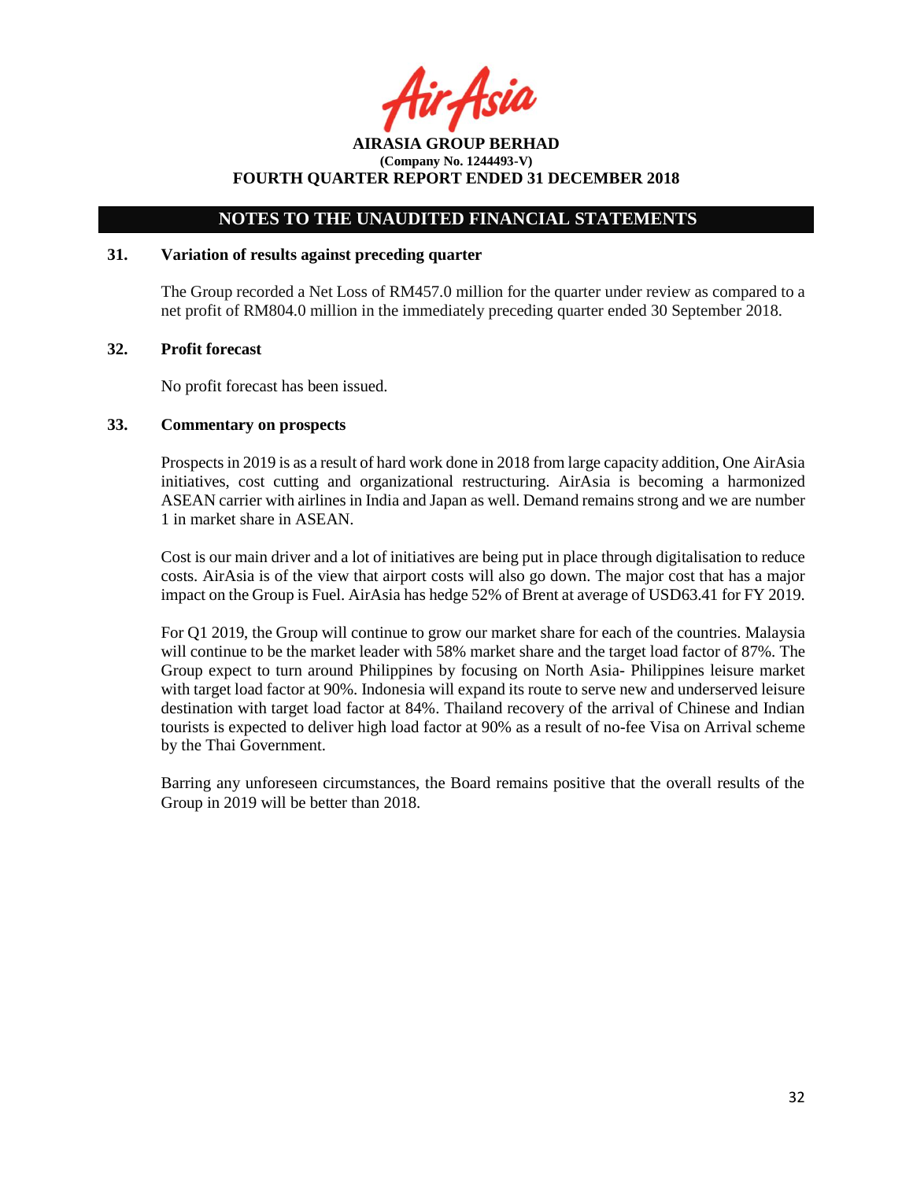**AIRASIA GROUP BERHAD (Company No. 1244493-V) FOURTH QUARTER REPORT ENDED 31 DECEMBER 2018**

### **31. Variation of results against preceding quarter**

The Group recorded a Net Loss of RM457.0 million for the quarter under review as compared to a net profit of RM804.0 million in the immediately preceding quarter ended 30 September 2018.

### **32. Profit forecast**

No profit forecast has been issued.

### **33. Commentary on prospects**

Prospects in 2019 is as a result of hard work done in 2018 from large capacity addition, One AirAsia initiatives, cost cutting and organizational restructuring. AirAsia is becoming a harmonized ASEAN carrier with airlines in India and Japan as well. Demand remains strong and we are number 1 in market share in ASEAN.

Cost is our main driver and a lot of initiatives are being put in place through digitalisation to reduce costs. AirAsia is of the view that airport costs will also go down. The major cost that has a major impact on the Group is Fuel. AirAsia has hedge 52% of Brent at average of USD63.41 for FY 2019.

For Q1 2019, the Group will continue to grow our market share for each of the countries. Malaysia will continue to be the market leader with 58% market share and the target load factor of 87%. The Group expect to turn around Philippines by focusing on North Asia- Philippines leisure market with target load factor at 90%. Indonesia will expand its route to serve new and underserved leisure destination with target load factor at 84%. Thailand recovery of the arrival of Chinese and Indian tourists is expected to deliver high load factor at 90% as a result of no-fee Visa on Arrival scheme by the Thai Government.

Barring any unforeseen circumstances, the Board remains positive that the overall results of the Group in 2019 will be better than 2018.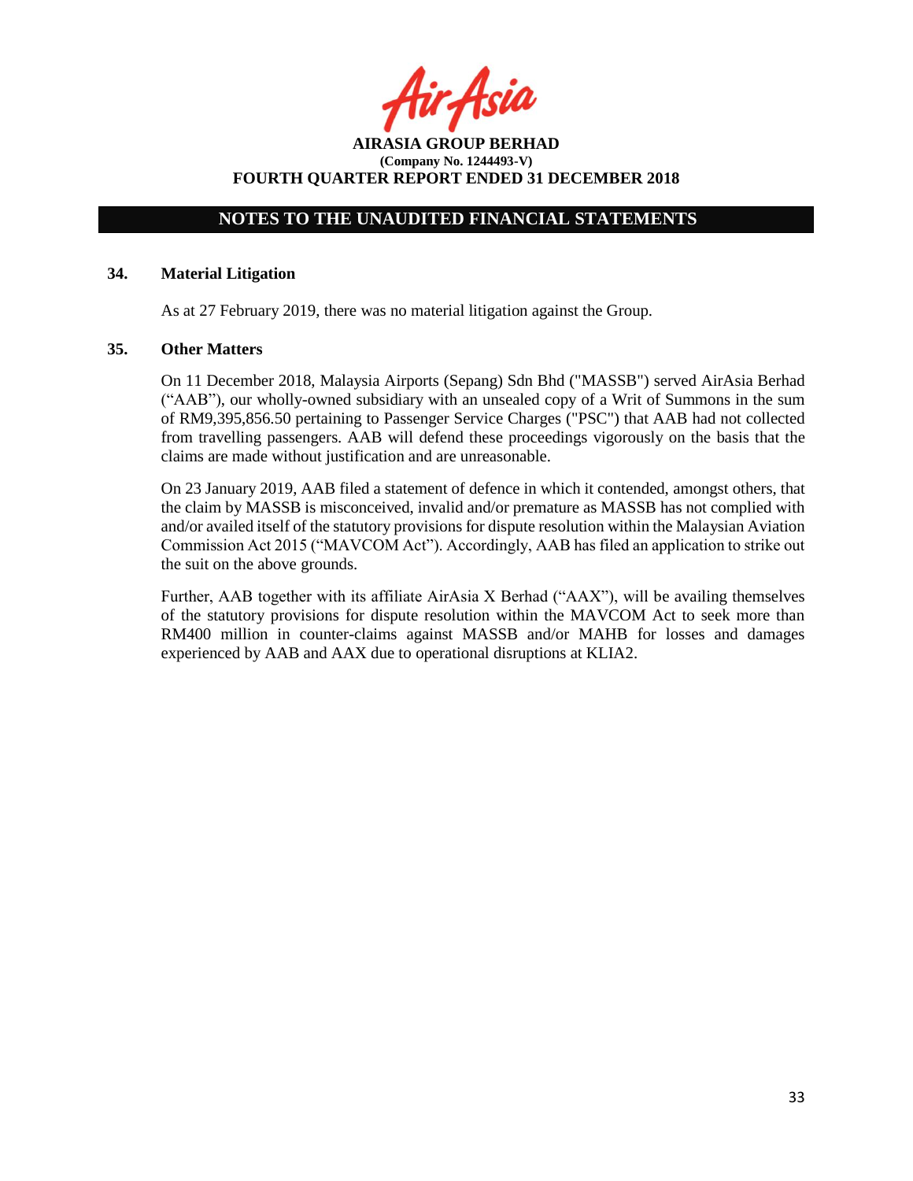Asia

**AIRASIA GROUP BERHAD (Company No. 1244493-V) FOURTH QUARTER REPORT ENDED 31 DECEMBER 2018**

### **34. Material Litigation**

As at 27 February 2019, there was no material litigation against the Group.

### **35. Other Matters**

On 11 December 2018, Malaysia Airports (Sepang) Sdn Bhd ("MASSB") served AirAsia Berhad ("AAB"), our wholly-owned subsidiary with an unsealed copy of a Writ of Summons in the sum of RM9,395,856.50 pertaining to Passenger Service Charges ("PSC") that AAB had not collected from travelling passengers. AAB will defend these proceedings vigorously on the basis that the claims are made without justification and are unreasonable.

On 23 January 2019, AAB filed a statement of defence in which it contended, amongst others, that the claim by MASSB is misconceived, invalid and/or premature as MASSB has not complied with and/or availed itself of the statutory provisions for dispute resolution within the Malaysian Aviation Commission Act 2015 ("MAVCOM Act"). Accordingly, AAB has filed an application to strike out the suit on the above grounds.

Further, AAB together with its affiliate AirAsia X Berhad ("AAX"), will be availing themselves of the statutory provisions for dispute resolution within the MAVCOM Act to seek more than RM400 million in counter-claims against MASSB and/or MAHB for losses and damages experienced by AAB and AAX due to operational disruptions at KLIA2.